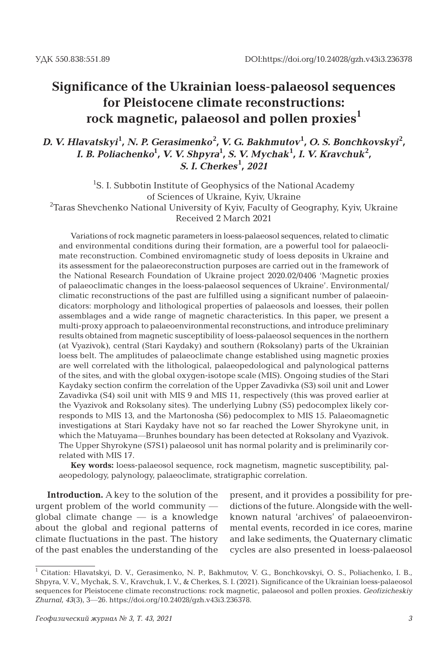### **Significance of the Ukrainian loess-palaeosol sequences for Pleistocene climate reconstructions: rock magnetic, palaeosol and pollen proxies<sup>1</sup>**

*D. V. Hlavatskyi***<sup>1</sup>** *, N. P. Gerasimenko***<sup>2</sup>** *, V. G. Bakhmutov***<sup>1</sup>** *, O. S. Bonchkovskyi***<sup>2</sup>** *, I. B. Poliachenko***<sup>1</sup>** *, V. V. Shpyra***<sup>1</sup>** *, S. V. Mychak***<sup>1</sup>** *, I. V. Kravchuk***<sup>2</sup>** *, S. I. Cherkes***<sup>1</sup>** *, 2021*

<sup>1</sup>S. I. Subbotin Institute of Geophysics of the National Academy of Sciences of Ukraine, Kyiv, Ukraine  $^{2}$ Taras Shevchenko National University of Kyiv, Faculty of Geography, Kyiv, Ukraine Received 2 March 2021

Variations of rock magnetic parameters in loess-palaeosol sequences, related to climatic and environmental conditions during their formation, are a powerful tool for palaeoclimate reconstruction. Combined enviromagnetic study of loess deposits in Ukraine and its assessment for the palaeoreconstruction purposes are carried out in the framework of the National Research Foundation of Ukraine project 2020.02/0406 'Magnetic proxies of palaeoclimatic changes in the loess-palaeosol sequences of Ukraine'. Environmental/ climatic reconstructions of the past are fulfilled using a significant number of palaeoindicators: morphology and lithological properties of palaeosols and loesses, their pollen assemblages and a wide range of magnetic characteristics. In this paper, we present a multi-proxy approach to palaeoenvironmental reconstructions, and introduce preliminary results obtained from magnetic susceptibility of loess-palaeosol sequences in the northern (at Vyazivok), central (Stari Kaydaky) and southern (Roksolany) parts of the Ukrainian loess belt. The amplitudes of palaeoclimate change established using magnetic proxies are well correlated with the lithological, palaeopedological and palynological patterns of the sites, and with the global oxygen-isotope scale (MIS). Ongoing studies of the Stari Kaydaky section confirm the correlation of the Upper Zavadivka (S3) soil unit and Lower Zavadivka (S4) soil unit with MIS 9 and MIS 11, respectively (this was proved earlier at the Vyazivok and Roksolany sites). The underlying Lubny (S5) pedocomplex likely corresponds to MIS 13, and the Martonosha (S6) pedocomplex to MIS 15. Palaeomagnetic investigations at Stari Kaydaky have not so far reached the Lower Shyrokyne unit, in which the Matuyama—Brunhes boundary has been detected at Roksolany and Vyazivok. The Upper Shyrokyne (S7S1) palaeosol unit has normal polarity and is preliminarily correlated with MIS 17.

**Key words:** loess-palaeosol sequence, rock magnetism, magnetic susceptibility, palaeopedology, palynology, palaeoclimate, stratigraphic correlation.

**Introduction.** A key to the solution of the urgent problem of the world community global climate change — is a knowledge about the global and regional patterns of climate fluctuations in the past. The history of the past enables the understanding of the

present, and it provides a possibility for predictions of the future. Alongside with the wellknown natural 'archives' of palaeoenvironmental events, recorded in ice cores, marine and lake sediments, the Quaternary climatic cycles are also presented in loess-palaeosol

<sup>&</sup>lt;sup>1</sup> Citation: Hlavatskyi, D. V., Gerasimenko, N. P., Bakhmutov, V. G., Bonchkovskyi, O. S., Poliachenko, I. B., Shpyra, V. V., Mychak, S. V., Kravchuk, I. V., & Cherkes, S. I. (2021). Significance of the Ukrainian loess-palaeosol sequences for Pleistocene climate reconstructions: rock magnetic, palaeosol and pollen proxies. *Geofizicheskiy Zhurnal, 43*(3), 3—26. https://doi.org/10.24028/gzh.v43i3.236378.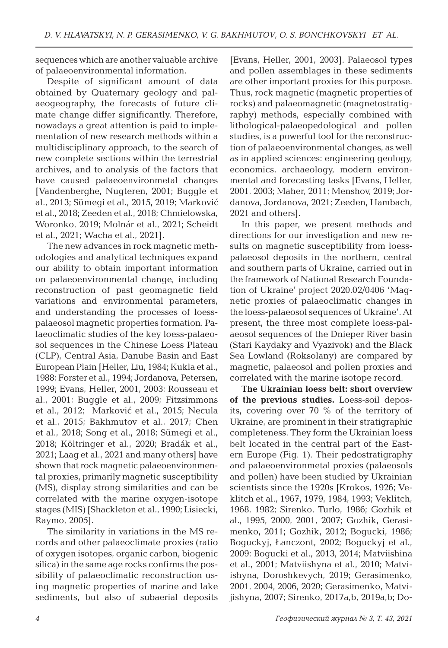sequences which are another valuable archive of palaeoenvironmental information.

Despite of significant amount of data obtained by Quaternary geology and palaeogeography, the forecasts of future climate change differ significantly. Therefore, nowadays a great attention is paid to implementation of new research methods within a multidisciplinary approach, to the search of new complete sections within the terrestrial archives, and to analysis of the factors that have caused palaeoenvironmetal changes [Vandenberghe, Nugteren, 2001; Buggle et al., 2013; Sümegi et al., 2015, 2019; Marković et al., 2018; Zeeden et al., 2018; Chmielowska, Woronko, 2019; Molnár et al., 2021; Scheidt et al., 2021; Wacha et al., 2021].

The new advances in rock magnetic methodologies and analytical techniques expand our ability to obtain important information on palaeoenvironmental change, including reconstruction of past geomagnetic field variations and environmental parameters, and understanding the processes of loesspalaeosol magnetic properties formation. Palaeoclimatic studies of the key loess-palaeosol sequences in the Chinese Loess Plateau (CLP), Central Asia, Danube Basin and East European Plain [Heller, Liu, 1984; Kukla et al., 1988; Forster et al., 1994; Jordanova, Petersen, 1999; Evans, Heller, 2001, 2003; Rousseau et al., 2001; Buggle et al., 2009; Fitzsimmons et al., 2012; Marković et al., 2015; Necula et al., 2015; Bakhmutov et al., 2017; Chen et al., 2018; Song et al., 2018; Sümegi et al., 2018; Költringer et al., 2020; Bradák et al., 2021; Laag et al., 2021 and many others] have shown that rock magnetic palaeoenvironmental proxies, primarily magnetic susceptibility (MS), display strong similarities and can be correlated with the marine oxygen-isotope stages (MIS) [Shackleton et al., 1990; Lisiecki, Raymo, 2005].

The similarity in variations in the MS records and other palaeoclimate proxies (ratio of oxygen isotopes, organic carbon, biogenic silica) in the same age rocks confirms the possibility of palaeoclimatic reconstruction using magnetic properties of marine and lake sediments, but also of subaerial deposits [Evans, Heller, 2001, 2003]. Palaeosol types and pollen assemblages in these sediments are other important proxies for this purpose. Thus, rock magnetic (magnetic properties of rocks) and palaeomagnetic (magnetostratigraphy) methods, especially combined with lithological-palaeopedological and pollen studies, is a powerful tool for the reconstruction of palaeoenvironmental changes, as well as in applied sciences: engineering geology, economics, archaeology, modern environmental and forecasting tasks [Evans, Heller, 2001, 2003; Maher, 2011; Menshov, 2019; Jordanova, Jordanova, 2021; Zeeden, Hambach, 2021 and others].

In this paper, we present methods and directions for our investigation and new results on magnetic susceptibility from loesspalaeosol deposits in the northern, central and southern parts of Ukraine, carried out in the framework of National Research Foundation of Ukraine' project 2020.02/0406 'Magnetic proxies of palaeoclimatic changes in the loess-palaeosol sequences of Ukraine'. At present, the three most complete loess-palaeosol sequences of the Dnieper River basin (Stari Kaydaky and Vyazivok) and the Black Sea Lowland (Roksolany) are compared by magnetic, palaeosol and pollen proxies and correlated with the marine isotope record.

**The Ukrainian loess belt: short overview of the previous studies.** Loess-soil deposits, covering over 70 % of the territory of Ukraine, are prominent in their stratigraphic completeness. They form the Ukrainian loess belt located in the central part of the Eastern Europe (Fig. 1). Their pedostratigraphy and palaeoenvironmetal proxies (palaeosols and pollen) have been studied by Ukrainian scientists since the 1920s [Krokos, 1926; Veklitch et al., 1967, 1979, 1984, 1993; Veklitch, 1968, 1982; Sirenko, Turlo, 1986; Gozhik et al., 1995, 2000, 2001, 2007; Gozhik, Gerasimenko, 2011; Gozhik, 2012; Bogucki, 1986; Boguckyj, Łanczont, 2002; Boguckyj et al., 2009; Bogucki et al., 2013, 2014; Matviishina et al., 2001; Matviishyna et al., 2010; Matviishyna, Doroshkevych, 2019; Gerasimenko, 2001, 2004, 2006, 2020; Gerasimenko, Matvijishyna, 2007; Sirenko, 2017a,b, 2019a,b; Do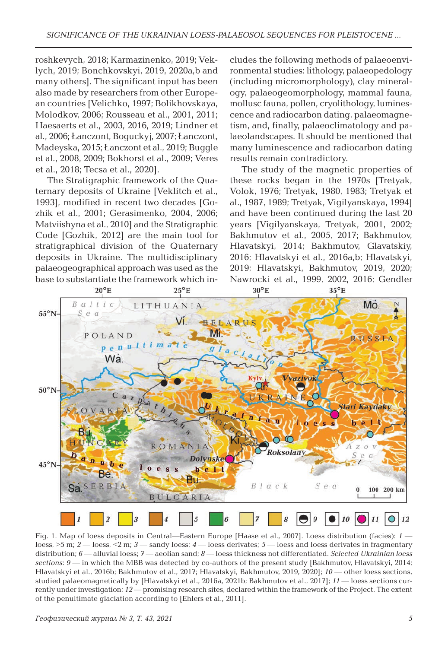roshkevych, 2018; Karmazinenko, 2019; Veklych, 2019; Bonchkovskyi, 2019, 2020a,b and many others]. The significant input has been also made by researchers from other European countries [Velichko, 1997; Bolikhovskaya, Molodkov, 2006; Rousseau et al., 2001, 2011; Haesaerts et al., 2003, 2016, 2019; Lindner et al., 2006; Łanczont, Boguckyj, 2007; Łanczont, Madeyska, 2015; Łanczont et al., 2019; Buggle et al., 2008, 2009; Bokhorst et al., 2009; Veres et al., 2018; Tecsa et al., 2020].

The Stratigraphic framework of the Quaternary deposits of Ukraine [Veklitch et al., 1993], modified in recent two decades [Gozhik et al., 2001; Gerasimenko, 2004, 2006; Matviishyna et al., 2010] and the Stratigraphic Code [Gozhik, 2012] are the main tool for stratigraphical division of the Quaternary deposits in Ukraine. The multidisciplinary palaeogeographical approach was used as the base to substantiate the framework which includes the following methods of palaeoenvironmental studies: lithology, palaeopedology (including micromorphology), clay mineralogy, palaeogeomorphology, mammal fauna, mollusc fauna, pollen, cryolithology, luminescence and radiocarbon dating, palaeomagnetism, and, finally, palaeoclimatology and palaeolandscapes. It should be mentioned that many luminescence and radiocarbon dating results remain contradictory.

The study of the magnetic properties of these rocks began in the 1970s [Tretyak, Volok, 1976; Tretyak, 1980, 1983; Tretyak et al., 1987, 1989; Tretyak, Vigilyanskaya, 1994] and have been continued during the last 20 years [Vigilyanskaya, Tretyak, 2001, 2002; Bakhmutov et al., 2005, 2017; Bakhmutov, Hlavatskyi, 2014; Bakhmutov, Glavatskіy, 2016; Hlavatskyi et al., 2016a,b; Hlavatskyi, 2019; Hlavatskyi, Bakhmutov, 2019, 2020; Nawrocki et al., 1999, 2002, 2016; Gendler



Fig. 1. Map of loess deposits in Central—Eastern Europe [Haase et al., 2007]. Loess distribution (facies): *1* loess, >5 m; *2* — loess, <2 m; *3* — sandy loess; *4* — loess derivates; *5* — loess and loess derivates in fragmentary distribution; *6* — alluvial loess; *7* — aeolian sand; *8* — loess thickness not differentiated. *Selected Ukrainian loess sections*: *9* — in which the MBB was detected by co-authors of the present study [Bakhmutov, Hlavatskyi, 2014; Hlavatskyi et al., 2016b; Bakhmutov et al., 2017; Hlavatskyi, Bakhmutov, 2019, 2020]; *10* — other loess sections, studied palaeomagnetically by [Hlavatskyi et al., 2016a, 2021b; Bakhmutov et al., 2017]; *11* — loess sections currently under investigation; *12* — promising research sites, declared within the framework of the Project. The extent of the penultimate glaciation according to [Ehlers et al., 2011].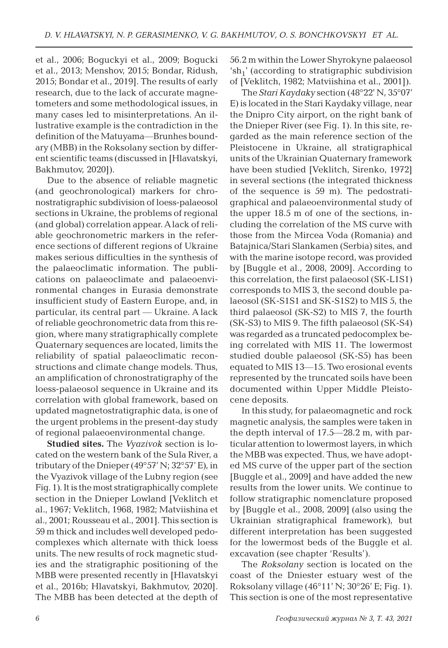et al., 2006; Boguckyi et al., 2009; Bogucki et al., 2013; Menshov, 2015; Bondar, Ridush, 2015; Bondar et al., 2019]. The results of early research, due to the lack of accurate magnetometers and some methodological issues, in many cases led to misinterpretations. An illustrative example is the contradiction in the definition of the Matuyama—Brunhes boundary (MBB) in the Roksolany section by different scientific teams (discussed in [Hlavatskyi, Bakhmutov, 2020]).

Due to the absence of reliable magnetic (and geochronological) markers for chronostratigraphic subdivision of loess-palaeosol sections in Ukraine, the problems of regional (and global) correlation appear. A lack of reliable geochronometric markers in the reference sections of different regions of Ukraine makes serious difficulties in the synthesis of the palaeoclimatic information. The publications on palaeoclimate and palaeoenvironmental changes in Eurasia demonstrate insufficient study of Eastern Europe, and, in particular, its central part — Ukraine. A lack of reliable geochronometric data from this region, where many stratigraphically complete Quaternary sequences are located, limits the reliability of spatial palaeoclimatic reconstructions and climate change models. Thus, an amplification of chronostratigraphy of the loess-palaeosol sequence in Ukraine and its correlation with global framework, based on updated magnetostratigraphic data, is one of the urgent problems in the present-day study of regional palaeoenvironmental change.

**Studied sites.** The *Vyazivok* section is located on the western bank of the Sula River, a tributary of the Dnieper (49°57' N; 32°57' E), in the Vyazivok village of the Lubny region (see Fig. 1). It is the most stratigraphically complete section in the Dnieper Lowland [Veklitch et al., 1967; Veklitch, 1968, 1982; Matviishina et al., 2001; Rousseau et al., 2001]. This section is 59 m thick and includes well developed pedocomplexes which alternate with thick loess units. The new results of rock magnetic studies and the stratigraphic positioning of the MBB were presented recently in [Hlavatskyi et al., 2016b; Hlavatskyi, Bakhmutov, 2020]. The MBB has been detected at the depth of 56.2 m within the Lower Shyrokyne palaeosol 'sh<sub>1</sub>' (according to stratigraphic subdivision of [Veklitch, 1982; Matviishina et al., 2001]).

The *Stari Kaydaky* section (48°22' N, 35°07' E) is located in the Stari Kaydaky village, near the Dnipro City airport, on the right bank of the Dnieper River (see Fig. 1). In this site, regarded as the main reference section of the Pleistocene in Ukraine, all stratigraphical units of the Ukrainian Quaternary framework have been studied [Veklitch, Sirenko, 1972] in several sections (the integrated thickness of the sequence is 59 m). The pedostratigraphical and palaeoenvironmental study of the upper 18.5 m of one of the sections, including the correlation of the MS curve with those from the Mircea Voda (Romania) and Batajnica/Stari Slankamen (Serbia) sites, and with the marine isotope record, was provided by [Buggle et al., 2008, 2009]. According to this correlation, the first palaeosol (SK-L1S1) corresponds to MIS 3, the second double palaeosol (SK-S1S1 and SK-S1S2) to MIS 5, the third palaeosol (SK-S2) to MIS 7, the fourth (SK-S3) to MIS 9. The fifth palaeosol (SK-S4) was regarded as a truncated pedocomplex being correlated with MIS 11. The lowermost studied double palaeosol (SK-S5) has been equated to MIS 13—15. Two erosional events represented by the truncated soils have been documented within Upper Middle Pleistocene deposits.

In this study, for palaeomagnetic and rock magnetic analysis, the samples were taken in the depth interval of 17.5—28.2 m, with particular attention to lowermost layers, in which the MBB was expected. Thus, we have adopted MS curve of the upper part of the section [Buggle et al., 2009] and have added the new results from the lower units. We continue to follow stratigraphic nomenclature proposed by [Buggle et al., 2008, 2009] (also using the Ukrainian stratigraphical framework), but different interpretation has been suggested for the lowermost beds of the Buggle et al. excavation (see chapter 'Results').

The *Roksolany* section is located on the coast of the Dniester estuary west of the Roksolany village (46°11' N; 30°26'E; Fig. 1). This section is one of the most representative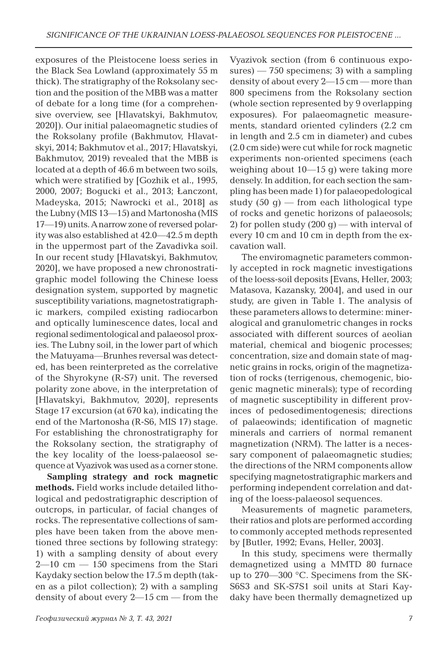exposures of the Pleistocene loess series in the Black Sea Lowland (approximately 55 m thick). The stratigraphy of the Roksolany section and the position of the MBB was a matter of debate for a long time (for a comprehensive overview, see [Hlavatskyi, Bakhmutov, 2020]). Our initial palaeomagnetic studies of the Roksolany profile (Bakhmutov, Hlavatskyi, 2014; Bakhmutov et al., 2017; Hlavatskyi, Bakhmutov, 2019) revealed that the MBB is located at a depth of 46.6 m between two soils, which were stratified by [Gozhik et al., 1995, 2000, 2007; Bogucki et al., 2013; Łanczont, Madeyska, 2015; Nawrocki et al., 2018] as the Lubny (MIS 13—15) and Martonosha (MIS 17—19) units. A narrow zone of reversed polarity was also established at 42.0—42.5 m depth in the uppermost part of the Zavadivka soil. In our recent study [Hlavatskyi, Bakhmutov, 2020], we have proposed a new chronostratigraphic model following the Chinese loess designation system, supported by magnetic susceptibility variations, magnetostratigraphic markers, compiled existing radiocarbon and optically luminescence dates, local and regional sedimentological and palaeosol proxies. The Lubny soil, in the lower part of which the Matuyama—Brunhes reversal was detected, has been reinterpreted as the correlative of the Shyrokyne (R-S7) unit. The reversed polarity zone above, in the interpretation of [Hlavatskyi, Bakhmutov, 2020], represents Stage 17 excursion (at 670 ka), indicating the end of the Martonosha (R-S6, MIS 17) stage. For establishing the chronostratigraphy for the Roksolany section, the stratigraphy of the key locality of the loess-palaeosol sequence at Vyazivok was used as a corner stone.

**Sampling strategy and rock magnetic methods.** Field works include detailed lithological and pedostratigraphic description of outcrops, in particular, of facial changes of rocks. The representative collections of samples have been taken from the above mentioned three sections by following strategy: 1) with a sampling density of about every  $2-10$  cm  $-150$  specimens from the Stari Kaydaky section below the 17.5 m depth (taken as a pilot collection); 2) with a sampling density of about every  $2-15$  cm — from the Vyazivok section (from 6 continuous exposures) — 750 specimens; 3) with a sampling density of about every 2—15 cm — more than 800 specimens from the Roksolany section (whole section represented by 9 overlapping exposures). For palaeomagnetic measurements, standard oriented cylinders (2.2 cm in length and 2.5 cm in diameter) and cubes (2.0 cm side) were cut while for rock magnetic experiments non-oriented specimens (each weighing about 10—15 g) were taking more densely. In addition, for each section the sampling has been made 1) for palaeopedological study  $(50 g)$  — from each lithological type of rocks and genetic horizons of palaeosols; 2) for pollen study  $(200 g)$  — with interval of every 10 cm and 10 cm in depth from the excavation wall.

The enviromagnetic parameters commonly accepted in rock magnetic investigations of the loess-soil deposits [Evans, Heller, 2003; Matasova, Kazansky, 2004], and used in our study, are given in Table 1. The analysis of these parameters allows to determine: mineralogical and granulometric changes in rocks associated with different sources of aeolian material, chemical and biogenic processes; concentration, size and domain state of magnetic grains in rocks, origin of the magnetization of rocks (terrigenous, chemogenic, biogenic magnetic minerals); type of recording of magnetic susceptibility in different provinces of pedosedimentogenesis; directions of palaeowinds; identification of magnetic minerals and carriers of normal remanent magnetization (NRM). The latter is a necessary component of palaeomagnetic studies; the directions of the NRM components allow specifying magnetostratigraphic markers and performing independent correlation and dating of the loess-palaeosol sequences.

Measurements of magnetic parameters, their ratios and plots are performed according to commonly accepted methods represented by [Butler, 1992; Evans, Heller, 2003].

In this study, specimens were thermally demagnetized using a MMTD 80 furnace up to 270—300 °C. Specimens from the SK-S6S3 and SK-S7S1 soil units at Stari Kaydaky have been thermally demagnetized up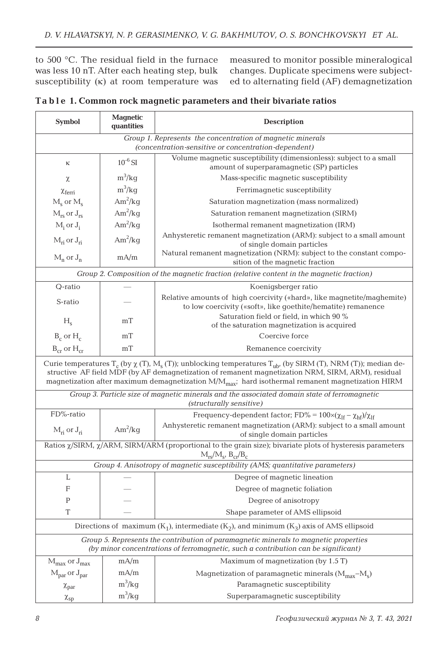to 500 °C. The residual field in the furnace was less 10 nT. After each heating step, bulk susceptibility  $(\kappa)$  at room temperature was

measured to monitor possible mineralogical changes. Duplicate specimens were subjected to alternating field (AF) demagnetization

|  | Table 1. Common rock magnetic parameters and their bivariate ratios |  |  |  |
|--|---------------------------------------------------------------------|--|--|--|
|--|---------------------------------------------------------------------|--|--|--|

| <b>Symbol</b>                                                                                                                                                                                                                                                                                                                                     | <b>Magnetic</b><br>quantities | Description                                                                                                                            |  |  |
|---------------------------------------------------------------------------------------------------------------------------------------------------------------------------------------------------------------------------------------------------------------------------------------------------------------------------------------------------|-------------------------------|----------------------------------------------------------------------------------------------------------------------------------------|--|--|
| Group 1. Represents the concentration of magnetic minerals<br>(concentration-sensitive or concentration-dependent)                                                                                                                                                                                                                                |                               |                                                                                                                                        |  |  |
| κ                                                                                                                                                                                                                                                                                                                                                 | $10^{-6}$ SI                  | Volume magnetic susceptibility (dimensionless): subject to a small<br>amount of superparamagnetic (SP) particles                       |  |  |
| χ                                                                                                                                                                                                                                                                                                                                                 | $m^3/kg$                      | Mass-specific magnetic susceptibility                                                                                                  |  |  |
| $\chi$ <sub>ferri</sub>                                                                                                                                                                                                                                                                                                                           | $m^3/kg$                      | Ferrimagnetic susceptibility                                                                                                           |  |  |
| $M_s$ or $M_s$                                                                                                                                                                                                                                                                                                                                    | $Am^2/kg$                     | Saturation magnetization (mass normalized)                                                                                             |  |  |
| $M_{rs}$ or $J_{rs}$                                                                                                                                                                                                                                                                                                                              | $Am^2/kg$                     | Saturation remanent magnetization (SIRM)                                                                                               |  |  |
| $M_i$ or $J_i$                                                                                                                                                                                                                                                                                                                                    | $Am^2/kg$                     | Isothermal remanent magnetization (IRM)                                                                                                |  |  |
| $M_{ri}$ or $J_{ri}$                                                                                                                                                                                                                                                                                                                              | $Am^2/kg$                     | Anhysteretic remanent magnetization (ARM): subject to a small amount<br>of single domain particles                                     |  |  |
| $M_n$ or $J_n$                                                                                                                                                                                                                                                                                                                                    | mA/m                          | Natural remanent magnetization (NRM): subject to the constant compo-<br>sition of the magnetic fraction                                |  |  |
| Group 2. Composition of the magnetic fraction (relative content in the magnetic fraction)                                                                                                                                                                                                                                                         |                               |                                                                                                                                        |  |  |
| Q-ratio                                                                                                                                                                                                                                                                                                                                           |                               | Koenigsberger ratio                                                                                                                    |  |  |
| S-ratio                                                                                                                                                                                                                                                                                                                                           |                               | Relative amounts of high coercivity («hard», like magnetite/maghemite)<br>to low coercivity («soft», like goethite/hematite) remanence |  |  |
| $H_s$                                                                                                                                                                                                                                                                                                                                             | mT                            | Saturation field or field, in which 90 %                                                                                               |  |  |
|                                                                                                                                                                                                                                                                                                                                                   |                               | of the saturation magnetization is acquired                                                                                            |  |  |
| $B_c$ or $H_c$                                                                                                                                                                                                                                                                                                                                    | mT                            | Coercive force                                                                                                                         |  |  |
| $B_{cr}$ or $H_{cr}$                                                                                                                                                                                                                                                                                                                              | mT                            | Remanence coercivity                                                                                                                   |  |  |
| Curie temperatures $T_c$ (by $\chi$ (T), M <sub>s</sub> (T)); unblocking temperatures $T_{ub}$ , (by SIRM (T), NRM (T)); median de-<br>structive AF field MDF (by AF demagnetization of remanent magnetization NRM, SIRM, ARM), residual<br>magnetization after maximum demagnetization $M/M_{max}$ ; hard isothermal remanent magnetization HIRM |                               |                                                                                                                                        |  |  |
| Group 3. Particle size of magnetic minerals and the associated domain state of ferromagnetic<br>(structurally sensitive)                                                                                                                                                                                                                          |                               |                                                                                                                                        |  |  |
| FD%-ratio                                                                                                                                                                                                                                                                                                                                         |                               | Frequency-dependent factor; FD% = $100 \times (\chi_{\text{lf}} - \chi_{\text{hf}})/\chi_{\text{lf}}$                                  |  |  |
| $M_{ri}$ or $J_{ri}$                                                                                                                                                                                                                                                                                                                              | $Am^2/kg$                     | Anhysteretic remanent magnetization (ARM): subject to a small amount<br>of single domain particles                                     |  |  |
| Ratios x/SIRM, x/ARM, SIRM/ARM (proportional to the grain size); bivariate plots of hysteresis parameters<br>$M_{rs}/M_{s}$ , $B_{cr}/B_{c}$                                                                                                                                                                                                      |                               |                                                                                                                                        |  |  |
| Group 4. Anisotropy of magnetic susceptibility (AMS; quantitative parameters)                                                                                                                                                                                                                                                                     |                               |                                                                                                                                        |  |  |
| L                                                                                                                                                                                                                                                                                                                                                 |                               | Degree of magnetic lineation                                                                                                           |  |  |
| F                                                                                                                                                                                                                                                                                                                                                 |                               | Degree of magnetic foliation                                                                                                           |  |  |
| $\mathbf{P}$                                                                                                                                                                                                                                                                                                                                      |                               | Degree of anisotropy                                                                                                                   |  |  |
| T                                                                                                                                                                                                                                                                                                                                                 |                               | Shape parameter of AMS ellipsoid                                                                                                       |  |  |
| Directions of maximum $(K_1)$ , intermediate $(K_2)$ , and minimum $(K_3)$ axis of AMS ellipsoid                                                                                                                                                                                                                                                  |                               |                                                                                                                                        |  |  |
| Group 5. Represents the contribution of paramagnetic minerals to magnetic properties<br>(by minor concentrations of ferromagnetic, such a contribution can be significant)                                                                                                                                                                        |                               |                                                                                                                                        |  |  |
| $M_{\text{max}}$ or $J_{\text{max}}$                                                                                                                                                                                                                                                                                                              | mA/m                          | Maximum of magnetization (by 1.5 T)                                                                                                    |  |  |
| $M_{\text{par}}$ or $J_{\text{par}}$                                                                                                                                                                                                                                                                                                              | mA/m                          | Magnetization of paramagnetic minerals $(M_{max}-M_s)$                                                                                 |  |  |
| $\chi_{\text{par}}$                                                                                                                                                                                                                                                                                                                               | $m^3/kg$                      | Paramagnetic susceptibility                                                                                                            |  |  |
| $\chi_{sp}$                                                                                                                                                                                                                                                                                                                                       | $m^3/kg$                      | Superparamagnetic susceptibility                                                                                                       |  |  |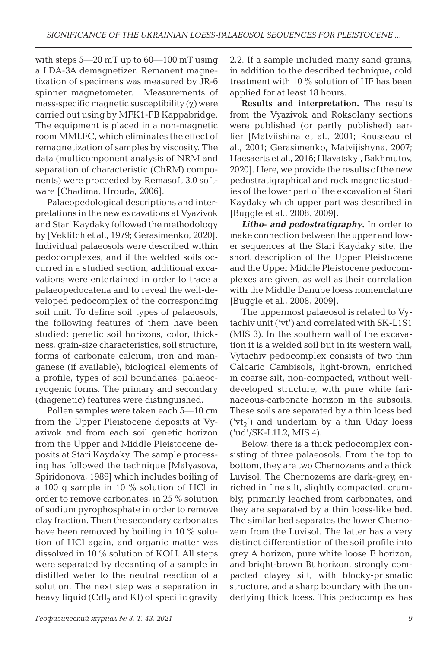with steps 5—20 mT up to 60—100 mT using a LDA-3A demagnetizer. Remanent magnetization of specimens was measured by JR-6 spinner magnetometer. Measurements of mass-specific magnetic susceptibility  $(\chi)$  were carried out using by MFK1-FB Kappabridge. The equipment is placed in a non-magnetic room MMLFC, which eliminates the effect of remagnetization of samples by viscosity. The data (multicomponent analysis of NRM and separation of characteristic (ChRM) components) were proceeded by Remasoft 3.0 software [Chadima, Hrouda, 2006].

Palaeopedological descriptions and interpretations in the new excavations at Vyazivok and Stari Kaydaky followed the methodology by [Veklitch et al., 1979; Gerasimenko, 2020]. Individual palaeosols were described within pedocomplexes, and if the welded soils occurred in a studied section, additional excavations were entertained in order to trace a palaeopedocatena and to reveal the well-developed pedocomplex of the corresponding soil unit. To define soil types of palaeosols, the following features of them have been studied: genetic soil horizons, color, thickness, grain-size characteristics, soil structure, forms of carbonate calcium, iron and manganese (if available), biological elements of a profile, types of soil boundaries, palaeocryogenic forms. The primary and secondary (diagenetic) features were distinguished.

Pollen samples were taken each 5—10 cm from the Upper Pleistocene deposits at Vyazivok and from each soil genetic horizon from the Upper and Middle Pleistocene deposits at Stari Kaydaky. The sample processing has followed the technique [Malyasova, Spiridonova, 1989] which includes boiling of a 100 g sample in 10 % solution of HCl in order to remove carbonates, in 25 % solution of sodium pyrophosphate in order to remove clay fraction. Then the secondary carbonates have been removed by boiling in 10 % solution of HCl again, and organic matter was dissolved in 10 % solution of KOH. All steps were separated by decanting of a sample in distilled water to the neutral reaction of a solution. The next step was a separation in heavy liquid (CdI<sub>2</sub> and KI) of specific gravity

**Results and interpretation.** The results from the Vyazivok and Roksolany sections were published (or partly published) earlier [Matviishina et al., 2001; Rousseau et al., 2001; Gerasimenko, Matvijishyna, 2007; Haesaerts et al., 2016; Hlavatskyi, Bakhmutov, 2020]. Here, we provide the results of the new pedostratigraphical and rock magnetic studies of the lower part of the excavation at Stari Kaydaky which upper part was described in [Buggle et al., 2008, 2009].

*Litho- and pedostratigraphy***.** In order to make connection between the upper and lower sequences at the Stari Kaydaky site, the short description of the Upper Pleistocene and the Upper Middle Pleistocene pedocomplexes are given, as well as their correlation with the Middle Danube loess nomenclature [Buggle et al., 2008, 2009].

The uppermost palaeosol is related to Vytachiv unit ('vt') and correlated with SK-L1S1 (MIS 3). In the southern wall of the excavation it is a welded soil but in its western wall, Vytachiv pedocomplex consists of two thin Calcaric Cambisols, light-brown, enriched in coarse silt, non-compacted, without welldeveloped structure, with pure white farinaceous-carbonate horizon in the subsoils. These soils are separated by a thin loess bed  $('vt<sub>2</sub>')$  and underlain by a thin Uday loess ('ud'/SK-L1L2, MIS 4).

Below, there is a thick pedocomplex consisting of three palaeosols. From the top to bottom, they are two Chernozems and a thick Luvisol. The Chernozems are dark-grey, enriched in fine silt, slightly compacted, crumbly, primarily leached from carbonates, and they are separated by a thin loess-like bed. The similar bed separates the lower Chernozem from the Luvisol. The latter has a very distinct differentiation of the soil profile into grey A horizon, pure white loose E horizon, and bright-brown Bt horizon, strongly compacted clayey silt, with blocky-prismatic structure, and a sharp boundary with the underlying thick loess. This pedocomplex has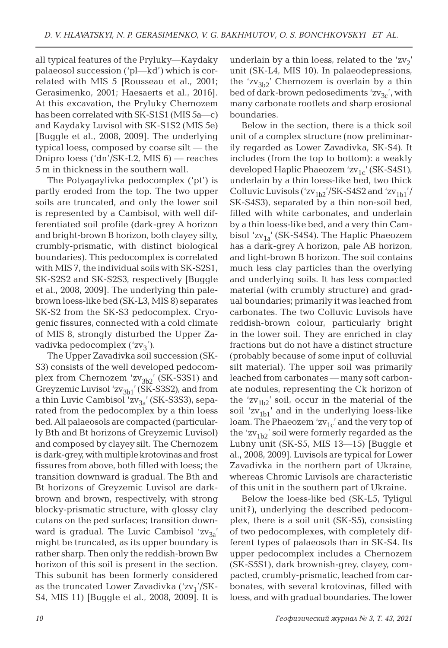all typical features of the Pryluky—Kaydaky palaeosol succession ('pl—kd') which is correlated with MIS 5 [Rousseau et al., 2001; Gerasimenko, 2001; Haesaerts et al., 2016]. At this excavation, the Pryluky Chernozem has been correlated with SK-S1S1 (MIS 5a—c) and Kaydaky Luvisol with SK-S1S2 (MIS 5e) [Buggle et al., 2008, 2009]. The underlying typical loess, composed by coarse silt — the Dnipro loess ('dn'/SK-L2, MIS 6) — reaches 5 m in thickness in the southern wall.

The Potyagaylivka pedocomplex ('pt') is partly eroded from the top. The two upper soils are truncated, and only the lower soil is represented by a Cambisol, with well differentiated soil profile (dark-grey A horizon and bright-brown B horizon, both clayey silty, crumbly-prismatic, with distinct biological boundaries). This pedocomplex is correlated with MIS 7, the individual soils with SK-S2S1, SK-S2S2 and SK-S2S3, respectively [Buggle et al., 2008, 2009]. The underlying thin palebrown loess-like bed (SK-L3, MIS 8) separates SK-S2 from the SK-S3 pedocomplex. Cryogenic fissures, connected with a cold climate of MIS 8, strongly disturbed the Upper Zavadivka pedocomplex  $({\rm zv_3'})$ .

The Upper Zavadivka soil succession (SK-S3) consists of the well developed pedocomplex from Chernozem ' $zv_{3b2}$ ' (SK-S3S1) and Greyzemic Luvisol ' $zv_{3b1}$ ' (SK-S3S2), and from a thin Luvic Cambisol ' $zv_{3a}$ ' (SK-S3S3), separated from the pedocomplex by a thin loess bed. All palaeosols are compacted (particularly Bth and Bt horizons of Greyzemic Luvisol) and composed by clayey silt. The Chernozem is dark-grey, with multiple krotovinas and frost fissures from above, both filled with loess; the transition downward is gradual. The Bth and Bt horizons of Greyzemic Luvisol are darkbrown and brown, respectively, with strong blocky-prismatic structure, with glossy clay cutans on the ped surfaces; transition downward is gradual. The Luvic Cambisol  $2v_{3a}$ ' might be truncated, as its upper boundary is rather sharp. Then only the reddish-brown Bw horizon of this soil is present in the section. This subunit has been formerly considered as the truncated Lower Zavadivka  $('zv<sub>1</sub>'/SK-$ S4, MIS 11) [Buggle et al., 2008, 2009]. It is underlain by a thin loess, related to the 'zv<sub>2</sub>' unit (SK-L4, MIS 10). In palaeodepressions, the 'zv<sub>3b2</sub>' Chernozem is overlain by a thin bed of dark-brown pedosediments ' $zv_{3c}$ ', with many carbonate rootlets and sharp erosional boundaries.

Below in the section, there is a thick soil unit of a complex structure (now preliminarily regarded as Lower Zavadivka, SK-S4). It includes (from the top to bottom): a weakly developed Haplic Phaeozem ' $zv_{1c}$ ' (SK-S4S1), underlain by a thin loess-like bed, two thick Colluvic Luvisols (' $\frac{\text{ZV}_{1b2}}{\text{ZV}_{1b1}}$ '/SK-S4S2 and ' $\frac{\text{ZV}_{1b1}}{\text{ZV}_{1b1}}$ '/ SK-S4S3), separated by a thin non-soil bed, filled with white carbonates, and underlain by a thin loess-like bed, and a very thin Cambisol 'zv<sub>1a</sub>' (SK-S4S4). The Haplic Phaeozem has a dark-grey A horizon, pale AB horizon, and light-brown B horizon. The soil contains much less clay particles than the overlying and underlying soils. It has less compacted material (with crumbly structure) and gradual boundaries; primarily it was leached from carbonates. The two Colluvic Luvisols have reddish-brown colour, particularly bright in the lower soil. They are enriched in clay fractions but do not have a distinct structure (probably because of some input of colluvial silt material). The upper soil was primarily leached from carbonates — many soft carbonate nodules, representing the Ck horizon of the 'zv<sub>1b2</sub>' soil, occur in the material of the soil ' $zv_{1b1}$ ' and in the underlying loess-like loam. The Phaeozem 'zv<sub>1c</sub>' and the very top of the 'zv<sub>1b2</sub>' soil were formerly regarded as the Lubny unit (SK-S5, MIS 13—15) [Buggle et al., 2008, 2009]. Luvisols are typical for Lower Zavadivka in the northern part of Ukraine, whereas Chromic Luvisols are characteristic of this unit in the southern part of Ukraine.

Below the loess-like bed (SK-L5, Tyligul unit?), underlying the described pedocomplex, there is a soil unit (SK-S5), consisting of two pedocomplexes, with completely different types of palaeosols than in SK-S4. Its upper pedocomplex includes a Chernozem (SK-S5S1), dark brownish-grey, clayey, compacted, crumbly-prismatic, leached from carbonates, with several krotovinas, filled with loess, and with gradual boundaries. The lower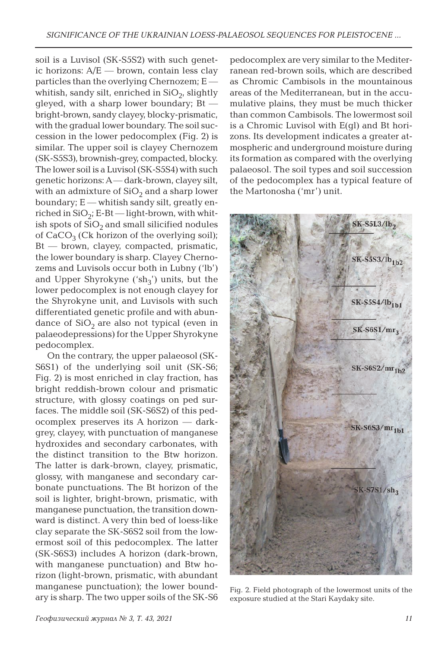soil is a Luvisol (SK-S5S2) with such genetic horizons: A/E — brown, contain less clay particles than the overlying Chernozem; E whitish, sandy silt, enriched in  $SiO<sub>2</sub>$ , slightly gleyed, with a sharp lower boundary; Bt bright-brown, sandy clayey, blocky-prismatic, with the gradual lower boundary. The soil succession in the lower pedocomplex (Fig. 2) is similar. The upper soil is clayey Chernozem (SK-S5S3), brownish-grey, compacted, blocky. The lower soil is a Luvisol (SK-S5S4) with such genetic horizons: A — dark-brown, clayey silt, with an admixture of  $SiO<sub>2</sub>$  and a sharp lower boundary; E — whitish sandy silt, greatly enriched in  $SiO<sub>2</sub>$ ; E-Bt — light-brown, with whitish spots of  $SiO<sub>2</sub>$  and small silicified nodules of  $CaCO<sub>3</sub>$  (Ck horizon of the overlying soil); Bt — brown, clayey, compacted, prismatic, the lower boundary is sharp. Clayey Chernozems and Luvisols occur both in Lubny ('lb') and Upper Shyrokyne (' $\sh_3$ ') units, but the lower pedocomplex is not enough clayey for the Shyrokyne unit, and Luvisols with such differentiated genetic profile and with abundance of  $SiO<sub>2</sub>$  are also not typical (even in palaeodepressions) for the Upper Shyrokyne pedocomplex.

On the contrary, the upper palaeosol (SK-S6S1) of the underlying soil unit (SK-S6; Fig. 2) is most enriched in clay fraction, has bright reddish-brown colour and prismatic structure, with glossy coatings on ped surfaces. The middle soil (SK-S6S2) of this pedocomplex preserves its A horizon — darkgrey, clayey, with punctuation of manganese hydroxides and secondary carbonates, with the distinct transition to the Btw horizon. The latter is dark-brown, clayey, prismatic, glossy, with manganese and secondary carbonate punctuations. The Bt horizon of the soil is lighter, bright-brown, prismatic, with manganese punctuation, the transition downward is distinct. A very thin bed of loess-like clay separate the SK-S6S2 soil from the lowermost soil of this pedocomplex. The latter (SK-S6S3) includes A horizon (dark-brown, with manganese punctuation) and Btw horizon (light-brown, prismatic, with abundant manganese punctuation); the lower boundary is sharp. The two upper soils of the SK-S6

pedocomplex are very similar to the Mediterranean red-brown soils, which are described as Chromic Cambisols in the mountainous areas of the Mediterranean, but in the accumulative plains, they must be much thicker than common Cambisols. The lowermost soil is a Chromic Luvisol with E(gl) and Bt horizons. Its development indicates a greater atmospheric and underground moisture during its formation as compared with the overlying palaeosol. The soil types and soil succession of the pedocomplex has a typical feature of the Martonosha ('mr') unit.



Fig. 2. Field photograph of the lowermost units of the exposure studied at the Stari Kaydaky site.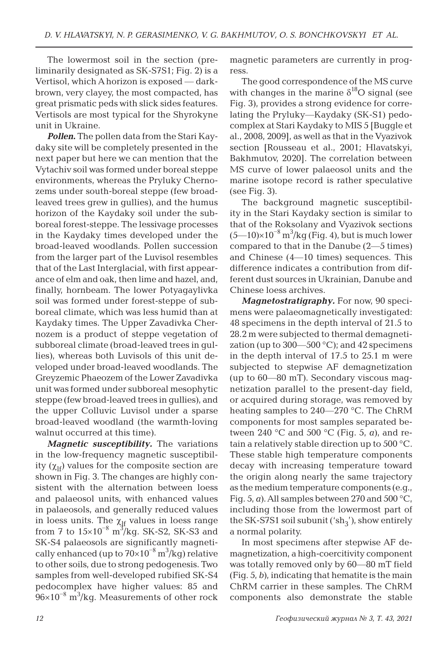The lowermost soil in the section (preliminarily designated as SK-S7S1; Fig. 2) is a Vertisol, which A horizon is exposed — darkbrown, very clayey, the most compacted, has great prismatic peds with slick sides features. Vertisols are most typical for the Shyrokyne unit in Ukraine.

*Pollen***.** The pollen data from the Stari Kaydaky site will be completely presented in the next paper but here we can mention that the Vytachiv soil was formed under boreal steppe environments, whereas the Pryluky Chernozems under south-boreal steppe (few broadleaved trees grew in gullies), and the humus horizon of the Kaydaky soil under the subboreal forest-steppe. The lessivage processes in the Kaydaky times developed under the broad-leaved woodlands. Pollen succession from the larger part of the Luvisol resembles that of the Last Interglacial, with first appearance of elm and oak, then lime and hazel, and, finally, hornbeam. The lower Potyagaylivka soil was formed under forest-steppe of subboreal climate, which was less humid than at Kaydaky times. The Upper Zavadivka Chernozem is a product of steppe vegetation of subboreal climate (broad-leaved trees in gullies), whereas both Luvisols of this unit developed under broad-leaved woodlands. The Greyzemic Phaeozem of the Lower Zavadivka unit was formed under subboreal mesophytic steppe (few broad-leaved trees in gullies), and the upper Colluvic Luvisol under a sparse broad-leaved woodland (the warmth-loving walnut occurred at this time).

*Magnetic susceptibility.* The variations in the low-frequency magnetic susceptibility  $(\chi_{\text{If}})$  values for the composite section are shown in Fig. 3. The changes are highly consistent with the alternation between loess and palaeosol units, with enhanced values in palaeosols, and generally reduced values in loess units. The  $\chi_{\text{lf}}$  values in loess range from 7 to  $15\times10^{-8}$  m<sup>3</sup>/kg. SK-S2, SK-S3 and SK-S4 palaeosols are significantly magnetically enhanced (up to  $70\times10^{-8}$  m<sup>3</sup>/kg) relative to other soils, due to strong pedogenesis. Two samples from well-developed rubified SK-S4 pedocomplex have higher values: 85 and  $96\times10^{-8}$  m<sup>3</sup>/kg. Measurements of other rock magnetic parameters are currently in progress.

The good correspondence of the MS curve with changes in the marine  $\delta^{18}O$  signal (see Fig. 3), provides a strong evidence for correlating the Pryluky—Kaydaky (SK-S1) pedocomplex at Stari Kaydaky to MIS 5 [Buggle et al., 2008, 2009], as well as that in the Vyazivok section [Rousseau et al., 2001; Hlavatskyi, Bakhmutov, 2020]. The correlation between MS curve of lower palaeosol units and the marine isotope record is rather speculative (see Fig. 3).

The background magnetic susceptibility in the Stari Kaydaky section is similar to that of the Roksolany and Vyazivok sections  $(5$ —10)×10<sup>-8</sup> m<sup>3</sup>/kg (Fig. 4), but is much lower compared to that in the Danube (2—5 times) and Chinese (4—10 times) sequences. This difference indicates a contribution from different dust sources in Ukrainian, Danube and Chinese loess archives.

*Magnetostratigraphy.* For now, 90 specimens were palaeomagnetically investigated: 48 specimens in the depth interval of 21.5 to 28.2 m were subjected to thermal demagnetization (up to  $300-500$  °C); and  $42$  specimens in the depth interval of 17.5 to 25.1 m were subjected to stepwise AF demagnetization (up to 60—80 mT). Secondary viscous magnetization parallel to the present-day field, or acquired during storage, was removed by heating samples to 240—270 °C. The ChRM components for most samples separated between 240 °C and 500 °C (Fig. 5, *a*), and retain a relatively stable direction up to 500 °C. These stable high temperature components decay with increasing temperature toward the origin along nearly the same trajectory as the medium temperature components (e.g., Fig. 5,  $\alpha$ ). All samples between 270 and 500 °C, including those from the lowermost part of the SK-S7S1 soil subunit (' $\text{sh}_3$ '), show entirely a normal polarity.

In most specimens after stepwise AF demagnetization, a high-coercitivity component was totally removed only by 60—80 mT field (Fig. 5, *b*), indicating that hematite is the main ChRM carrier in these samples. The ChRM components also demonstrate the stable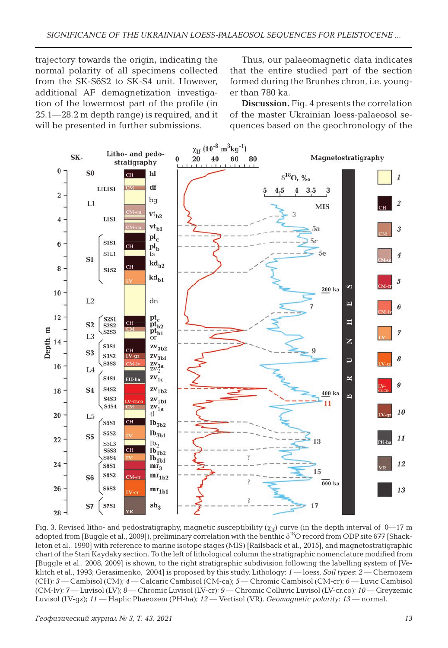trajectory towards the origin, indicating the normal polarity of all specimens collected from the SK-S6S2 to SK-S4 unit. However, additional AF demagnetization investigation of the lowermost part of the profile (in 25.1—28.2 m depth range) is required, and it will be presented in further submissions.

Thus, our palaeomagnetic data indicates that the entire studied part of the section formed during the Brunhes chron, i.e. younger than 780 ka.

**Discussion.** Fig. 4 presents the correlation of the master Ukrainian loess-palaeosol sequences based on the geochronology of the



Fig. 3. Revised litho- and pedostratigraphy, magnetic susceptibility ( $\chi$ <sup>If</sup>) curve (in the depth interval of 0–17 m adopted from [Buggle et al., 2009]), preliminary correlation with the benthic  $\delta^{18}$ O record from ODP site 677 [Shackleton et al., 1990] with reference to marine isotope stages (MIS) [Railsback et al., 2015], and magnetostratigraphic chart of the Stari Kaydaky section. To the left of lithological column the stratigraphic nomenclature modified from [Buggle et al., 2008, 2009] is shown, to the right stratigraphic subdivision following the labelling system of [Veklitch et al., 1993; Gerasimenko, 2004] is proposed by this study. Lithology: *1* — loess. *Soil types*: *2* — Chernozem (CH); *3* — Cambisol (CM); *4* — Calcaric Cambisol (CM-ca); *5* — Chromic Cambisol (CM-cr); *6* — Luvic Cambisol (CM-lv); *7* — Luvisol (LV); *8* — Chromic Luvisol (LV-cr); *9* — Chromic Colluvic Luvisol (LV-cr.co); *10* — Greyzemic Luvisol (LV-gz); *11* — Haplic Phaeozem (PH-ha); *12* — Vertisol (VR). *Geomagnetic polarity*: *13* — normal.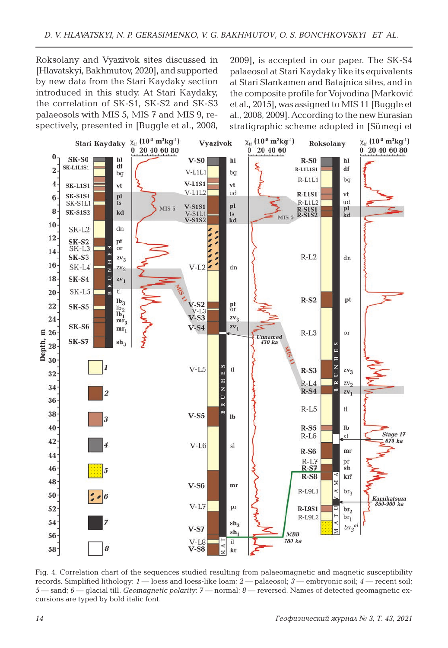Roksolany and Vyazivok sites discussed in [Hlavatskyi, Bakhmutov, 2020], and supported by new data from the Stari Kaydaky section introduced in this study. At Stari Kaydaky, the correlation of SK-S1, SK-S2 and SK-S3 palaeosols with MIS 5, MIS 7 and MIS 9, respectively, presented in [Buggle et al., 2008,

2009], is accepted in our paper. The SK-S4 palaeosol at Stari Kaydaky like its equivalents at Stari Slankamen and Batajnica sites, and in the composite profile for Vojvodina [Marković et al., 2015], was assigned to MIS 11 [Buggle et al., 2008, 2009]. According to the new Eurasian stratigraphic scheme adopted in [Sümegi et



Fig. 4. Correlation chart of the sequences studied resulting from palaeomagnetic and magnetic susceptibility records. Simplified lithology: *1* — loess and loess-like loam; *2* — palaeosol; *3* — embryonic soil; *4* — recent soil; *5* — sand; *6* — glacial till. *Geomagnetic polarity*: *7* — normal; *8* — reversed. Names of detected geomagnetic excursions are typed by bold italic font.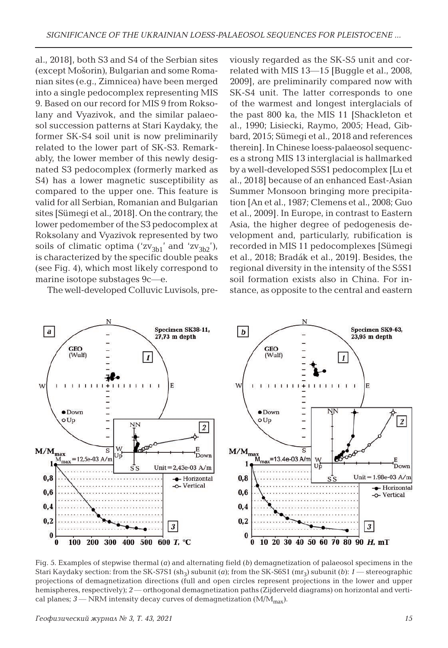al., 2018], both S3 and S4 of the Serbian sites (except Mošorin), Bulgarian and some Romanian sites (e.g., Zimnicea) have been merged into a single pedocomplex representing MIS 9. Based on our record for MIS 9 from Roksolany and Vyazivok, and the similar palaeosol succession patterns at Stari Kaydaky, the former SK-S4 soil unit is now preliminarily related to the lower part of SK-S3. Remarkably, the lower member of this newly designated S3 pedocomplex (formerly marked as S4) has a lower magnetic susceptibility as compared to the upper one. This feature is valid for all Serbian, Romanian and Bulgarian sites [Sümegi et al., 2018]. On the contrary, the lower pedomember of the S3 pedocomplex at Roksolany and Vyazivok represented by two soils of climatic optima (' $zv_{3b1}$ ' and ' $zv_{3b2}$ '), is characterized by the specific double peaks (see Fig. 4), which most likely correspond to marine isotope substages 9c—e.

The well-developed Colluvic Luvisols, pre-

viously regarded as the SK-S5 unit and correlated with MIS 13—15 [Buggle et al., 2008, 2009], are preliminarily compared now with SK-S4 unit. The latter corresponds to one of the warmest and longest interglacials of the past 800 ka, the MIS 11 [Shackleton et al., 1990; Lisiecki, Raymo, 2005; Head, Gibbard, 2015; Sümegi et al., 2018 and references therein]. In Chinese loess-palaeosol sequences a strong MIS 13 interglacial is hallmarked by a well-developed S5S1 pedocomplex [Lu et al., 2018] because of an enhanced East-Asian Summer Monsoon bringing more precipitation [An et al., 1987; Clemens et al., 2008; Guo et al., 2009]. In Europe, in contrast to Eastern Asia, the higher degree of pedogenesis development and, particularly, rubification is recorded in MIS 11 pedocomplexes [Sümegi et al., 2018; Bradák et al., 2019]. Besides, the regional diversity in the intensity of the S5S1 soil formation exists also in China. For instance, as opposite to the central and eastern



Fig. 5. Examples of stepwise thermal (*a*) and alternating field (*b*) demagnetization of palaeosol specimens in the Stari Kaydaky section: from the SK-S7S1  $(sh<sub>3</sub>)$  subunit (*a*); from the SK-S6S1 (mr<sub>3</sub>) subunit (*b*): *1* — stereographic projections of demagnetization directions (full and open circles represent projections in the lower and upper hemispheres, respectively); *2* — orthogonal demagnetization paths (Zijderveld diagrams) on horizontal and vertical planes;  $3$  — NRM intensity decay curves of demagnetization ( $M/M_{max}$ ).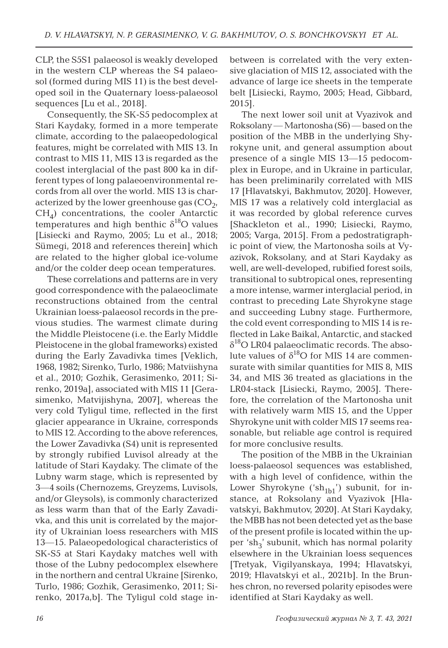CLP, the S5S1 palaeosol is weakly developed in the western CLP whereas the S4 palaeosol (formed during MIS 11) is the best developed soil in the Quaternary loess-palaeosol sequences [Lu et al., 2018].

Consequently, the SK-S5 pedocomplex at Stari Kaydaky, formed in a more temperate climate, according to the palaeopedological features, might be correlated with MIS 13. In contrast to MIS 11, MIS 13 is regarded as the coolest interglacial of the past 800 ka in different types of long palaeoenvironmental records from all over the world. MIS 13 is characterized by the lower greenhouse gas  $(CO<sub>2</sub>)$ ,  $CH<sub>4</sub>$ ) concentrations, the cooler Antarctic temperatures and high benthic  $\delta^{18}O$  values [Lisiecki and Raymo, 2005; Lu et al., 2018; Sümegi, 2018 and references therein] which are related to the higher global ice-volume and/or the colder deep ocean temperatures.

These correlations and patterns are in very good correspondence with the palaeoclimate reconstructions obtained from the central Ukrainian loess-palaeosol records in the previous studies. The warmest climate during the Middle Pleistocene (i.e. the Early Middle Pleistocene in the global frameworks) existed during the Early Zavadivka times [Veklich, 1968, 1982; Sirenko, Turlo, 1986; Matviishyna et al., 2010; Gozhik, Gerasimenko, 2011; Sirenko, 2019a], associated with MIS 11 [Gerasimenko, Matvijishyna, 2007], whereas the very cold Tyligul time, reflected in the first glacier appearance in Ukraine, corresponds to MIS 12. According to the above references, the Lower Zavadivka (S4) unit is represented by strongly rubified Luvisol already at the latitude of Stari Kaydaky. The climate of the Lubny warm stage, which is represented by 3—4 soils (Chernozems, Greyzems, Luvisols, and/or Gleysols), is commonly characterized as less warm than that of the Early Zavadivka, and this unit is correlated by the majority of Ukrainian loess researchers with MIS 13—15. Palaeopedological characteristics of SK-S5 at Stari Kaydaky matches well with those of the Lubny pedocomplex elsewhere in the northern and central Ukraine [Sirenko, Turlo, 1986; Gozhik, Gerasimenko, 2011; Sirenko, 2017a,b]. The Tyligul cold stage inbetween is correlated with the very extensive glaciation of MIS 12, associated with the advance of large ice sheets in the temperate belt [Lisiecki, Raymo, 2005; Head, Gibbard, 2015].

The next lower soil unit at Vyazivok and Roksolany — Martonosha (S6) — based on the position of the MBB in the underlying Shyrokyne unit, and general assumption about presence of a single MIS 13—15 pedocomplex in Europe, and in Ukraine in particular, has been preliminarily correlated with MIS 17 [Hlavatskyi, Bakhmutov, 2020]. However, MIS 17 was a relatively cold interglacial as it was recorded by global reference curves [Shackleton et al., 1990; Lisiecki, Raymo, 2005; Varga, 2015]. From a pedostratigraphic point of view, the Martonosha soils at Vyazivok, Roksolany, and at Stari Kaydaky as well, are well-developed, rubified forest soils, transitional to subtropical ones, representing a more intense, warmer interglacial period, in contrast to preceding Late Shyrokyne stage and succeeding Lubny stage. Furthermore, the cold event corresponding to MIS 14 is reflected in Lake Baikal, Antarctic, and stacked  $\delta^{18}$ O LR04 palaeoclimatic records. The absolute values of  $\delta^{18}O$  for MIS 14 are commensurate with similar quantities for MIS 8, MIS 34, and MIS 36 treated as glaciations in the LR04-stack [Lisiecki, Raymo, 2005]. Therefore, the correlation of the Martonosha unit with relatively warm MIS 15, and the Upper Shyrokyne unit with colder MIS 17 seems reasonable, but reliable age control is required for more conclusive results.

The position of the MBB in the Ukrainian loess-palaeosol sequences was established, with a high level of confidence, within the Lower Shyrokyne (' $\sh_{1b1}$ ') subunit, for instance, at Roksolany and Vyazivok [Hlavatskyi, Bakhmutov, 2020]. At Stari Kaydaky, the MBB has not been detected yet as the base of the present profile is located within the upper 'sh<sub>3</sub>' subunit, which has normal polarity elsewhere in the Ukrainian loess sequences [Tretyak, Vigilyanskaya, 1994; Hlavatskyi, 2019; Hlavatskyi et al., 2021b]. In the Brunhes chron, no reversed polarity episodes were identified at Stari Kaydaky as well.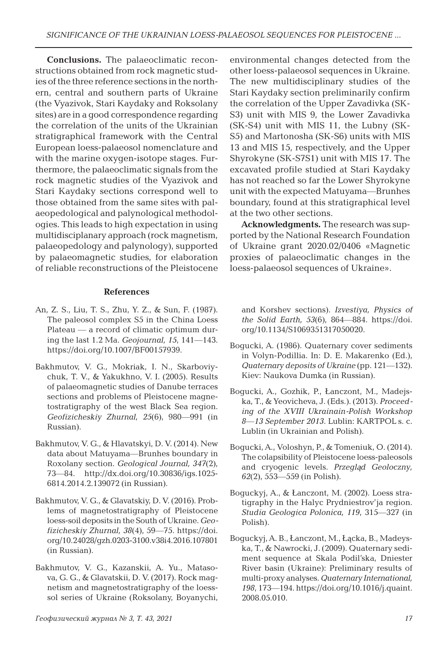**Conclusions.** The palaeoclimatic reconstructions obtained from rock magnetic studies of the three reference sections in the northern, central and southern parts of Ukraine (the Vyazivok, Stari Kaydaky and Roksolany sites) are in a good correspondence regarding the correlation of the units of the Ukrainian stratigraphical framework with the Central European loess-palaeosol nomenclature and with the marine oxygen-isotope stages. Furthermore, the palaeoclimatic signals from the rock magnetic studies of the Vyazivok and Stari Kaydaky sections correspond well to those obtained from the same sites with palaeopedological and palynological methodologies. This leads to high expectation in using multidisciplanary approach (rock magnetism, palaeopedology and palynology), supported by palaeomagnetic studies, for elaboration of reliable reconstructions of the Pleistocene

#### **References**

- An, Z. S., Liu, T. S., Zhu, Y. Z., & Sun, F. (1987). The paleosol complex S5 in the China Loess Plateau — a record of climatic optimum during the last 1.2 Ma. *Geojournal, 15*, 141—143. https://doi.org/10.1007/BF00157939.
- Bakhmutov, V. G., Mokriak, I. N., Skarboviychuk, T. V., & Yakukhno, V. I. (2005). Results of palaeomagnetic studies of Danube terraces sections and problems of Pleistocene magnetostratigraphy of the west Black Sea region. *Geofizicheskiy Zhurnal, 25*(6), 980—991 (in Russian).
- Bakhmutov, V. G., & Hlavatskyi, D. V. (2014). New data about Matuyama—Brunhes boundary in Roxolany section. *Geological Journal, 347*(2), 73—84. http://dx.doi.org/10.30836/igs.1025- 6814.2014.2.139072 (in Russian).
- Bakhmutov, V. G., & Glavatskіy, D. V. (2016). Problems of magnetostratigraphy of Pleistocene loess-soil deposits in the South of Ukraine. *Geofizicheskiy Zhurnal, 38*(4), 59—75. https://doi. org/10.24028/gzh.0203-3100.v38i4.2016.107801 (in Russian).
- Bakhmutov, V. G., Kazanskii, A. Yu., Matasova, G. G., & Glavatskii, D. V. (2017). Rock magnetism and magnetostratigraphy of the loesssol series of Ukraine (Roksolany, Boyanychi,

environmental changes detected from the other loess-palaeosol sequences in Ukraine. The new multidisciplinary studies of the Stari Kaydaky section preliminarily confirm the correlation of the Upper Zavadivka (SK-S3) unit with MIS 9, the Lower Zavadivka (SK-S4) unit with MIS 11, the Lubny (SK-S5) and Martonosha (SK-S6) units with MIS 13 and MIS 15, respectively, and the Upper Shyrokyne (SK-S7S1) unit with MIS 17. The excavated profile studied at Stari Kaydaky has not reached so far the Lower Shyrokyne unit with the expected Matuyama—Brunhes boundary, found at this stratigraphical level at the two other sections.

**Acknowledgments.** The research was supported by the National Research Foundation of Ukraine grant 2020.02/0406 «Magnetic proxies of palaeoclimatic changes in the loess-palaeosol sequences of Ukraine».

and Korshev sections). *Izvestiya, Physics of the Solid Earth, 53*(6), 864—884. https://doi. org/10.1134/S1069351317050020.

- Bogucki, A. (1986). Quaternary cover sediments in Volyn-Podillia. In: D. E. Makarenko (Ed.), *Quaternary deposits of Ukraine* (pp. 121—132). Kiev: Naukova Dumka (in Russian).
- Bogucki, A., Gozhik, P., Łanczont, M., Madejska, T., & Yeovicheva, J. (Eds.). (2013). *Proceeding of the XVIII Ukrainain-Polish Workshop 8—13 September 2013*. Lublin: KARTPOL s. c. Lublin (in Ukrainian and Polish).
- Bogucki, A., Voloshyn, P., & Tomeniuk, O. (2014). The colapsibility of Pleistocene loess-paleosols and cryogenic levels. *Przegląd Geoloczny, 62*(2), 553—559 (in Polish).
- Boguckyj, A., & Łanczont, M. (2002). Loess stratigraphy in the Halyc Prydniestrov'ja region. *Studia Geologica Polonica, 119*, 315—327 (in Polish).
- Boguckyj, A. B., Łanczont, M., Łącka, B., Madeyska, T., & Nawrocki, J. (2009). Quaternary sediment sequence at Skala Podil'ska, Dniester River basin (Ukraine): Preliminary results of multi-proxy analyses. *Quaternary International, 198*, 173—194. https://doi.org/10.1016/j.quaint. 2008.05.010.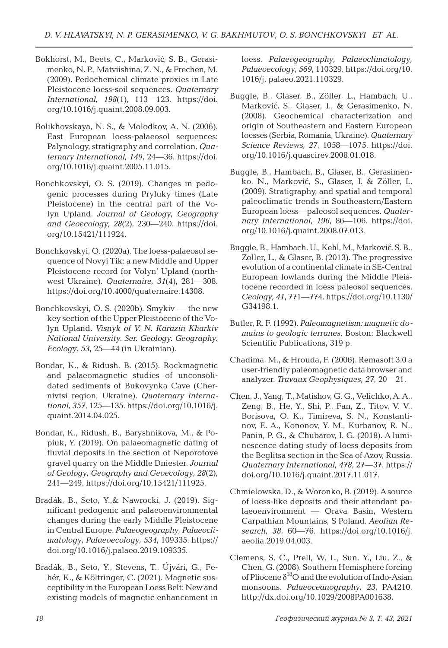- Bokhorst, M., Beets, C., Marković, S. B., Gerasimenko, N. P., Matviishina, Z. N., & Frechen, M. (2009). Pedochemical climate proxies in Late Pleistocene loess-soil sequences. *Quaternary International, 198*(1), 113—123. https://doi. org/10.1016/j.quaint.2008.09.003.
- Bolikhovskaya, N. S., & Molodkov, A. N. (2006). East European loess-palaeosol sequences: Palynology, stratigraphy and correlation. *Quaternary International, 149*, 24—36. https://doi. org/10.1016/j.quaint.2005.11.015.
- Bonchkovskyi, O. S. (2019). Changes in pedogenic processes during Pryluky times (Late Pleistocene) in the central part of the Volyn Upland. *Journal of Geology, Geography and Geoecology, 28*(2), 230—240. https://doi. org/10.15421/111924.
- Bonchkovskyi, O. (2020a). The loess-palaeosol sequence of Novyi Tik: a new Middle and Upper Pleistocene record for Volyn' Upland (northwest Ukraine). *Quaternaire, 31*(4), 281—308. https://doi.org/10.4000/quaternaire.14308.
- Bonchkovskyi, O. S. (2020b). Smykiv the new key section of the Upper Pleistocene of the Volyn Upland. *Visnyk of V. N. Karazin Kharkiv National University. Ser. Geology. Geography. Ecology, 53*, 25—44 (in Ukrainian).
- Bondar, K., & Ridush, B. (2015). Rockmagnetic and palaeomagnetic studies of unconsolidated sediments of Bukovynka Cave (Chernivtsi region, Ukraine). *Quaternary International, 357*, 125—135. https://doi.org/10.1016/j. quaint.2014.04.025.
- Bondar, K., Ridush, B., Baryshnikova, M., & Popiuk, Y. (2019). On palaeomagnetic dating of fluvial deposits in the section of Neporotove gravel quarry on the Middle Dniester. *Journal of Geology, Geography and Geoecology, 28*(2), 241—249. https://doi.org/10.15421/111925.
- Bradák, B., Seto, Y.,& Nawrocki, J. (2019). Significant pedogenic and palaeoenvironmental changes during the early Middle Pleistocene in Central Europe. *Palaeogeography, Palaeoclimatology, Palaeoecology, 534*, 109335. https:// doi.org/10.1016/j.palaeo.2019.109335.
- Bradák, B., Seto, Y., Stevens, T., Újvári, G., Fehér, K., & Költringer, C. (2021). Magnetic susceptibility in the European Loess Belt: New and existing models of magnetic enhancement in

loess. *Palaeogeography, Palaeoclimatology, Palaeoecology, 569*, 110329. https://doi.org/10. 1016/j. palaeo.2021.110329.

- Buggle, B., Glaser, B., Zöller, L., Hambach, U., Marković, S., Glaser, I., & Gerasimenko, N. (2008). Geochemical characterization and origin of Southeastern and Eastern European loesses (Serbia, Romania, Ukraine). *Quaternary Science Reviews, 27*, 1058—1075. https://doi. org/10.1016/j.quascirev.2008.01.018.
- Buggle, B., Hambach, B., Glaser, B., Gerasimenko, N., Marković, S., Glaser, I. & Zöller, L. (2009). Stratigraphy, and spatial and temporal paleoclimatic trends in Southeastern/Eastern European loess—paleosol sequences. *Quaternary International, 196*, 86—106. https://doi. org/10.1016/j.quaint.2008.07.013.
- Buggle, B., Hambach, U., Kehl, M., Marković, S. B., Zoller, L., & Glaser, B. (2013). The progressive evolution of a continental climate in SE-Central European lowlands during the Middle Pleistocene recorded in loess paleosol sequences. *Geology, 41*, 771—774. https://doi.org/10.1130/ G34198.1.
- Butler, R. F. (1992). *Paleomagnetism: magnetic domains to geologic terranes*. Boston: Blackwell Scientific Publications, 319 p.
- Chadima, M., & Hrouda, F. (2006). Remasoft 3.0 a user-friendly paleomagnetic data browser and analyzer. *Travaux Geophysiques, 27*, 20—21.
- Chen, J., Yang, T., Matishov, G. G., Velichko, A. A., Zeng, B., He, Y., Shi, P., Fan, Z., Titov, V. V., Borisova, O. K., Timireva, S. N., Konstantinov, E. A., Kononov, Y. M., Kurbanov, R. N., Panin, P. G., & Chubarov, I. G. (2018). A luminescence dating study of loess deposits from the Beglitsa section in the Sea of Azov, Russia. *Quaternary International, 478*, 27—37. https:// doi.org/10.1016/j.quaint.2017.11.017.
- Chmielowska, D., & Woronko, B. (2019). A source of loess-like deposits and their attendant palaeoenvironment — Orava Basin, Western Carpathian Mountains, S Poland. *Aeolian Research, 38*, 60—76. https://doi.org/10.1016/j. aeolia.2019.04.003.
- Clemens, S. C., Prell, W. L., Sun, Y., Liu, Z., & Chen, G. (2008). Southern Hemisphere forcing of Pliocene  $\delta^{18}$ O and the evolution of Indo-Asian monsoons. *Palaeoceanography, 23*, PA4210. http://dx.doi.org/10.1029/2008PA001638.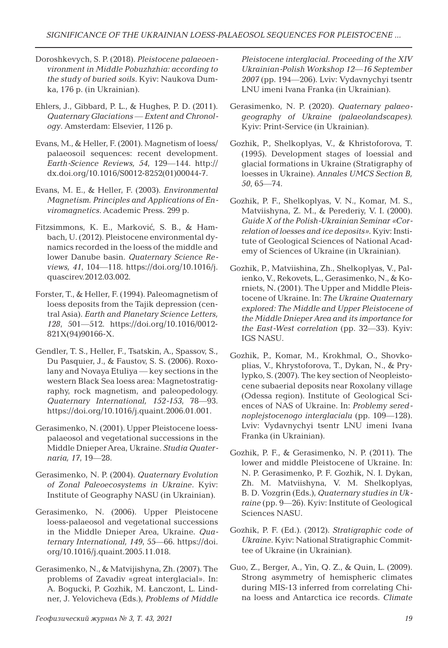- Doroshkevych, S. P. (2018). *Pleistocene palaeoenvironment in Middle Pobuzhzhia: according to the study of buried soils*. Kyiv: Naukova Dumka, 176 p. (in Ukrainian).
- Ehlers, J., Gibbard, P. L., & Hughes, P. D. (2011). *Quaternary Glaciations — Extent and Chronology*. Amsterdam: Elsevier, 1126 p.
- Evans, M., & Heller, F. (2001). Magnetism of loess/ palaeosoil sequences: recent development. *Earth-Science Reviews, 54*, 129—144. http:// dx.doi.org/10.1016/S0012-8252(01)00044-7.
- Evans, M. E., & Heller, F. (2003). *Environmental Magnetism. Principles and Applications of Enviromagnetics*. Academic Press. 299 p.
- Fitzsimmons, K. E., Marković, S. B., & Hambach, U. (2012). Pleistocene environmental dynamics recorded in the loess of the middle and lower Danube basin. *Quaternary Science Reviews, 41*, 104—118. https://doi.org/10.1016/j. quascirev.2012.03.002.
- Forster, T., & Heller, F. (1994). Paleomagnetism of loess deposits from the Tajik depression (central Asia). *Earth and Planetary Science Letters, 128*, 501—512. https://doi.org/10.1016/0012- 821X(94)90166-X.
- Gendler, T. S., Heller, F., Tsatskin, A., Spassov, S., Du Pasquier, J., & Faustov, S. S. (2006). Roxolany and Novaya Etuliya — key sections in the western Black Sea loess area: Magnetostratigraphy, rock magnetism, and paleopedology. *Quaternary International, 152-153*, 78—93. https://doi.org/10.1016/j.quaint.2006.01.001.
- Gerasimenko, N. (2001). Upper Pleistocene loesspalaeosol and vegetational successions in the Middle Dnieper Area, Ukraine. *Studia Quaternaria, 17*, 19—28.
- Gerasimenko, N. P. (2004). *Quaternary Evolution of Zonal Paleoecosystems in Ukraine*. Kyiv: Institute of Geography NASU (in Ukrainian).
- Gerasimenko, N. (2006). Upper Pleistocene loess-palaeosol and vegetational successions in the Middle Dnieper Area, Ukraine. *Quaternary International, 149*, 55—66. https://doi. org/10.1016/j.quaint.2005.11.018.
- Gerasimenko, N., & Matvijishyna, Zh. (2007). The problems of Zavadiv «great interglacial». In: A. Bogucki, P. Gozhik, M. Łanczont, L. Lindner, J. Yelovicheva (Eds.), *Problems of Middle*

*Pleistocene interglacial. Proceeding of the XIV Ukrainian-Polish Workshop 12—16 September 2007* (pp. 194—206). Lviv: Vydavnychyi tsentr LNU imeni Ivana Franka (in Ukrainian).

- Gerasimenko, N. P. (2020). *Quaternary palaeogeography of Ukraine (palaeolandscapes)*. Kyiv: Print-Service (in Ukrainian).
- Gozhik, P., Shelkoplyas, V., & Khristoforova, T. (1995). Development stages of loessial and glacial formations in Ukraine (Stratigraphy of loesses in Ukraine). *Annales UMCS Section B, 50*, 65—74.
- Gozhik, P. F., Shelkoplyas, V. N., Komar, M. S., Matviishyna, Z. M., & Perederiy, V. I. (2000). *Guide X of the Polish-Ukrainian Seminar «Correlation of loesses and ice deposits».* Kyiv: Institute of Geological Sciences of National Academy of Sciences of Ukraine (in Ukrainian).
- Gozhik, P., Matviishina, Zh., Shelkoplyas, V., Palienko, V., Rekovets, L., Gerasimenko, N., & Korniets, N. (2001). The Upper and Middle Pleistocene of Ukraine. In: *The Ukraine Quaternary explored: The Middle and Upper Pleistocene of the Middle Dnieper Area and its importance for the East-West correlation* (pp. 32—33). Kyiv: IGS NASU.
- Gozhik, P., Komar, M., Krokhmal, O., Shovkoplias, V., Khrystoforova, T., Dykan, N., & Prylypko, S. (2007). The key section of Neopleistocene subaerial deposits near Roxolany village (Odessa region). Institute of Geological Sciences of NAS of Ukraine. In: *Problemy serednoplejstocenogo interglacialu* (pp. 109—128). Lviv: Vydavnychyi tsentr LNU imeni Ivana Franka (in Ukrainian).
- Gozhik, P. F., & Gerasimenko, N. P. (2011). The lower and middle Pleistocene of Ukraine. In: N. P. Gerasimenko, P. F. Gozhik, N. I. Dykan, Zh. M. Matviishyna, V. M. Shelkoplyas, B. D. Vozgrin (Eds.), *Quaternary studies in Ukraine* (pp. 9—26). Kyiv: Institute of Geological Sciences NASU.
- Gozhik, P. F. (Ed.). (2012). *Stratigraphic code of Ukraine*. Kyiv: National Stratigraphic Committee of Ukraine (in Ukrainian).
- Guo, Z., Berger, A., Yin, Q. Z., & Quin, L. (2009). Strong asymmetry of hemispheric climates during MIS-13 inferred from correlating China loess and Antarctica ice records. *Climate*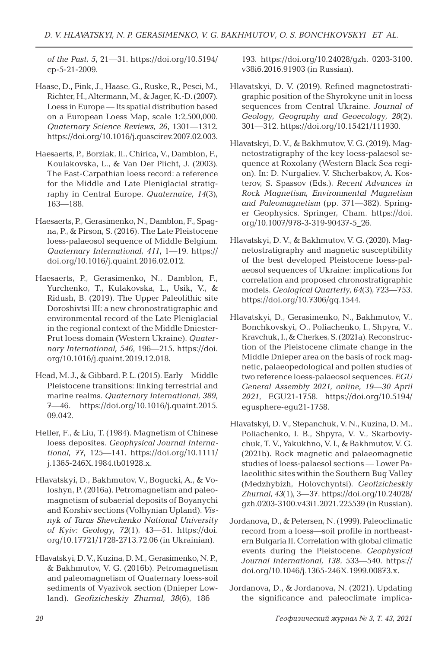*of the Past, 5*, 21—31. https://doi.org/10.5194/ cp-5-21-2009.

- Haase, D., Fink, J., Haase, G., Ruske, R., Pesci, M., Richter, H., Altermann, M., & Jager, K.-D. (2007). Loess in Europe — Its spatial distribution based on a European Loess Map, scale 1:2,500,000. *Quaternary Science Reviews, 26*, 1301—1312. https://doi.org/10.1016/j.quascirev.2007.02.003.
- Haesaerts, P., Borziak, Il., Chirica, V., Damblon, F., Koulakovska, L., & Van Der Plicht, J. (2003). The East-Carpathian loess record: a reference for the Middle and Late Pleniglacial stratigraphy in Central Europe. *Quaternaire, 14*(3), 163—188.
- Haesaerts, P., Gerasimenko, N., Damblon, F., Spagna, P., & Pirson, S. (2016). The Late Pleistocene loess-palaeosol sequence of Middle Belgium. *Quaternary International, 411*, 1—19. https:// doi.org/10.1016/j.quaint.2016.02.012.
- Haesaerts, P., Gerasimenko, N., Damblon, F., Yurchenko, T., Kulakovska, L., Usik, V., & Ridush, B. (2019). The Upper Paleolithic site Doroshivtsi III: a new chronostratigraphic and environmental record of the Late Pleniglacial in the regional context of the Middle Dniester-Prut loess domain (Western Ukraine). *Quaternary International, 546*, 196—215. https://doi. org/10.1016/j.quaint.2019.12.018.
- Head, M. J., & Gibbard, P. L. (2015). Early—Middle Pleistocene transitions: linking terrestrial and marine realms. *Quaternary International, 389*, 7—46. https://doi.org/10.1016/j.quaint.2015. 09.042.
- Heller, F., & Liu, T. (1984). Magnetism of Chinese loess deposites. *Geophysical Journal International, 77*, 125—141. https://doi.org/10.1111/ j.1365-246X.1984.tb01928.x.
- Hlavatskyi, D., Bakhmutov, V., Bogucki, A., & Voloshyn, P. (2016a). Petromagnetism and paleomagnetism of subaerial deposits of Boyanychi and Korshiv sections (Volhynian Upland). *Visnyk of Taras Shevchenko National University of Kyiv: Geology, 72*(1), 43—51. https://doi. org/10.17721/1728-2713.72.06 (in Ukrainian).
- Hlavatskyi,D.V., Kuzina,D.M., Gerasimenko,N.P., & Bakhmutov, V. G. (2016b). Petromagnetism and paleomagnetism of Quaternary loess-soil sediments of Vyazivok section (Dnieper Lowland). *Geofizicheskiy Zhurnal, 38*(6), 186—

193. https://doi.org/10.24028/gzh. 0203-3100. v38i6.2016.91903 (in Russian).

- Hlavatskyi, D. V. (2019). Refined magnetostratigraphic position of the Shyrokyne unit in loess sequences from Central Ukraine. *Journal of Geology, Geography and Geoecology, 28*(2), 301—312. https://doi.org/10.15421/111930.
- Hlavatskyi, D. V., & Bakhmutov, V. G. (2019). Magnetostratigraphy of the key loess-palaesol sequence at Roxolany (Western Black Sea region). In: D. Nurgaliev, V. Shcherbakov, A. Kosterov, S. Spassov (Eds.), *Recent Advances in Rock Magnetism, Environmental Magnetism and Paleomagnetism* (pp. 371—382). Springer Geophysics. Springer, Cham. https://doi. org/10.1007/978-3-319-90437-5\_26.
- Hlavatskyi, D. V., & Bakhmutov, V. G. (2020). Magnetostratigraphy and magnetic susceptibility of the best developed Pleistocene loess-palaeosol sequences of Ukraine: implications for correlation and proposed chronostratigraphic models. *Geological Quarterly, 64*(3), 723—753. https://doi.org/10.7306/gq.1544.
- Hlavatskyi, D., Gerasimenko, N., Bakhmutov, V., Bonchkovskyi, O., Poliachenko, I., Shpyra, V., Kravchuk,I., & Cherkes, S. (2021a). Reconstruction of the Pleistocene climate change in the Middle Dnieper area on the basis of rock magnetic, palaeopedological and pollen studies of two reference loess-palaeosol sequences. *EG U General Assembly 2021, online, 19—30 April 2021*, EGU21-1758. https://doi.org/10.5194/ egusphere-egu21-1758.
- Hlavatskyi, D. V., Stepanchuk, V. N., Kuzina, D.M., Poliachenko, I. B., Shpyra, V. V., Skarboviychuk, T. V., Yakukhno, V. I., & Bakhmutov, V. G. (2021b). Rock magnetic and palaeomagnetic studies of loess-palaesol sections — Lower Palaeolithic sites within the Southern Bug Valley (Medzhybizh, Holovchyntsi). *Geofizicheskiy Zhurnal, 43*(1), 3—37. https://doi.org/10.24028/ gzh.0203-3100.v43i1.2021.225539 (in Russian).
- Jordanova, D., & Petersen, N. (1999). Paleoclimatic record from a loess—soil profile in northeastern Bulgaria II. Correlation with global climatic events during the Pleistocene. *Geophysical Journal International, 138*, 533—540. https:// doi.org/10.1046/j.1365-246X.1999.00873.x.
- Jordanova, D., & Jordanova, N. (2021). Updating the significance and paleoclimate implica-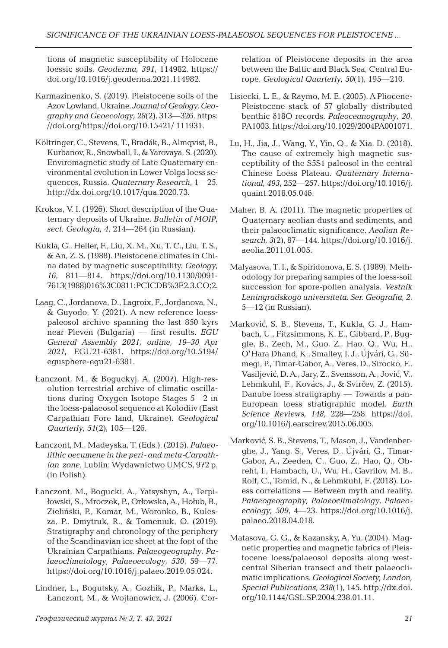tions of magnetic susceptibility of Holocene loessic soils. *Geoderma, 391*, 114982. https:// doi.org/10.1016/j.geoderma.2021.114982.

- Karmazinenko, S. (2019). Pleistocene soils of the Azov Lowland, Ukraine. *Journal of Geology, Geography and Geoecology, 28*(2), 313—326. https: //doi.org/https://doi.org/10.15421/ 111931.
- Költringer, C., Stevens, T., Bradák, B., Almqvist, B., Kurbanov,R., Snowball,I., & Yarovaya, S. (2020). Enviromagnetic study of Late Quaternary environmental evolution in Lower Volga loess sequences, Russia. *Quaternary Research*, 1—25. http://dx.doi.org/10.1017/qua.2020.73.
- Krokos, V. I. (1926). Short description of the Quaternary deposits of Ukraine. *Bulletin of MOIP, sect. Geologia, 4*, 214—264 (in Russian).
- Kukla, G., Heller, F., Liu, X. M., Xu, T. C., Liu, T. S., & An, Z. S. (1988). Pleistocene climates in China dated by magnetic susceptibility. *Geology, 16*, 811—814. https://doi.org/10.1130/0091- 7613(1988)016%3C0811:PCICDB%3E2.3.CO;2.
- Laag, C., Jordanova, D., Lagroix, F., Jordanova, N., & Guyodo, Y. (2021). A new reference loesspaleosol archive spanning the last 850 kyrs near Pleven (Bulgaria) — first results. *EGU General Assembly 2021, online, 19–30 Apr 2021*, EGU21-6381. https://doi.org/10.5194/ egusphere-egu21-6381.
- Łanczont, M., & Boguckyj, A. (2007). High-resolution terrestrial archive of climatic oscillations during Oxygen Isotope Stages 5—2 in the loess-palaeosol sequence at Kolodiiv (East Carpathian Fore land, Ukraine). *Geological Quarterly, 51*(2), 105—126.
- Łanczont, M., Madeyska, T. (Eds.). (2015). *Palaeolithic oecumene in the peri- and meta-Carpathian zone*. Lublin: Wydawnictwo UMCS, 972 p. (in Polish).
- Łanczont, M., Bogucki, A., Yatsyshyn, A., Terpiłowski, S., Mroczek, P., Orłowska,A., Hołub, B., Zieliński, P., Komar, M., Woronko, B., Kulesza, P., Dmytruk, R., & Tomeniuk, O. (2019). Stratigraphy and chronology of the periphery of the Scandinavian ice sheet at the foot of the Ukrainian Carpathians. *Palaeogeography, Palaeoclimatology, Palaeoecology, 530*, 59—77. https://doi.org/10.1016/j.palaeo.2019.05.024.
- Lindner, L., Bogutsky, A., Gozhik, P., Marks, L., Łanczont, M., & Wojtanowicz, J. (2006). Cor-

relation of Pleistocene deposits in the area between the Baltic and Black Sea, Central Europe. *Geological Quarterly, 50*(1), 195—210.

- Lisiecki, L. E., & Raymo, M. E. (2005). A Pliocene-Pleistocene stack of 57 globally distributed benthic δ18O records. *Paleoceanography, 20*, PA1003. https://doi.org/10.1029/2004PA001071.
- Lu, H., Jia, J., Wang, Y., Yin, Q., & Xia, D. (2018). The cause of extremely high magnetic susceptibility of the S5S1 paleosol in the central Chinese Loess Plateau. *Quaternary International, 493*, 252—257. https://doi.org/10.1016/j. quaint.2018.05.046.
- Maher, B. A. (2011). The magnetic properties of Quaternary aeolian dusts and sediments, and their palaeoclimatic significance. *Aeolian Research, 3*(2), 87—144. https://doi.org/10.1016/j. aeolia.2011.01.005.
- Malyasova, Т. I., & Spiridonova, E. S. (1989). Methodology for preparing samples of the loess-soil succession for spore-pollen analysis. *Vestnik Leningradskogo universiteta. Ser. Geografia, 2*, 5—12 (in Russian).
- Marković, S. B., Stevens, T., Kukla, G. J., Hambach, U., Fitzsimmons, K. E., Gibbard, P., Buggle, B., Zech, M., Guo, Z., Hao, Q., Wu, H., O'Hara Dhand, K., Smalley, I. J., Újvári, G., Sümegi, P., Timar-Gabor,A., Veres, D., Sirocko, F., Vasiljević, D. A., Jary, Z., Svensson, A., Jović, V., Lehmkuhl, F., Kovács, J., & Svirčev, Z. (2015). Danube loess stratigraphy — Towards a pan-European loess stratigraphic model. *Earth Science Reviews, 148*, 228—258. https://doi. org/10.1016/j.earscirev.2015.06.005.
- Marković, S. B., Stevens, T., Mason, J., Vandenberghe, J., Yang, S., Veres, D., Újvári, G., Timar-Gabor, A., Zeeden, C., Guo, Z., Hao, Q., Obreht, I., Hambach, U., Wu, H., Gavrilov, M. B., Rolf, C., Tomid, N., & Lehmkuhl, F. (2018). Loess correlations — Between myth and reality. *Palaeogeography, Palaeoclimatology, Palaeoecology, 509*, 4—23. https://doi.org/10.1016/j. palaeo.2018.04.018.
- Matasova, G. G., & Kazansky, A. Yu. (2004). Magnetic properties and magnetic fabrics of Pleistocene loess/palaeosol deposits along westcentral Siberian transect and their palaeoclimatic implications. *Geological Society, London, Special Publications, 238*(1), 145. http://dx.doi. org/10.1144/GSL.SP.2004.238.01.11.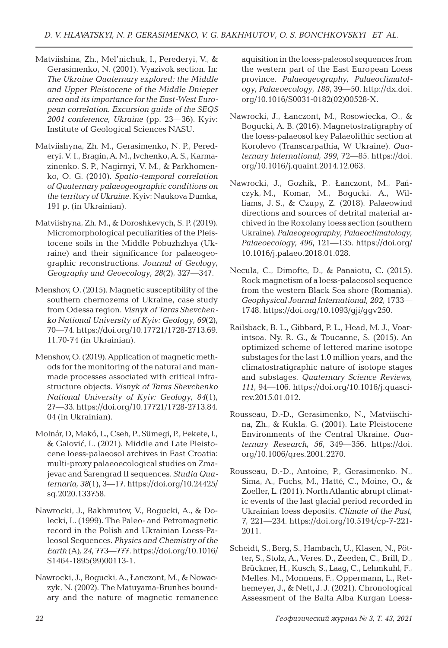- Matviishina, Zh., Mel'nichuk, I., Perederyi, V., & Gerasimenko, N. (2001). Vyazivok section. In: *The Ukraine Quaternary explored: the Middle and Upper Pleistocene of the Middle Dnieper area and its importance for the East-West European correlation. Excursion guide of the SEQS 2001 conference, Ukraine* (pp. 23—36). Kyiv: Institute of Geological Sciences NASU.
- Matviishyna, Zh. M., Gerasimenko, N. P., Perederyi, V. I., Bragin, A. M., Ivchenko, A. S., Karmazinenko, S. P., Nagirnyi, V. M., & Parkhomenko, O. G. (2010). *Spatio-temporal correlation of Quaternary palaeogeographic conditions on the territory of Ukraine*. Kyiv: Naukova Dumka, 191 p. (in Ukrainian).
- Matviishyna, Zh. M., & Doroshkevych, S. P. (2019). Micromorphological peculiarities of the Pleistocene soils in the Middle Pobuzhzhya (Ukraine) and their significance for palaeogeographic reconstructions. *Journal of Geology, Geography and Geoecology, 28*(2), 327—347.
- Menshov, O. (2015). Magnetic susceptibility of the southern chernozems of Ukraine, case study from Odessa region. *Visnyk of Taras Shevchenko National University of Kyiv: Geology, 69*(2), 70—74. https://doi.org/10.17721/1728-2713.69. 11.70-74 (in Ukrainian).
- Menshov, O. (2019). Application of magnetic methods for the monitoring of the natural and manmade processes associated with critical infrastructure objects. *Visnyk of Taras Shevchenko National University of Kyiv: Geology, 84*(1), 27—33. https://doi.org/10.17721/1728-2713.84. 04 (in Ukrainian).
- Molnár, D, Makó, L., Cseh, P., Sümegi, P., Fekete,I., & Galović, L. (2021). Middle and Late Pleistocene loess-palaeosol archives in East Croatia: multi-proxy palaeoecological studies on Zmajevac and Šarengrad II sequences. *Studia Quaternaria, 38*(1), 3—17. https://doi.org/10.24425/ sq.2020.133758.
- Nawrocki, J., Bakhmutov, V., Bogucki, A., & Dolecki, L. (1999). The Paleo- and Petromagnetic record in the Polish and Ukrainian Loess-Paleosol Sequences. *Physics and Chemistry of the Earth* (A)*, 24*, 773—777. https://doi.org/10.1016/ S1464-1895(99)00113-1.
- Nawrocki, J., Bogucki,A., Łanczont, M., & Nowaczyk, N. (2002). The Matuyama-Brunhes boundary and the nature of magnetic remanence

aquisition in the loess-paleosol sequences from the western part of the East European Loess province. *Palaeogeography, Palaeoclimatology, Palaeoecology, 188*, 39—50. http://dx.doi. org/10.1016/S0031-0182(02)00528-X.

- Nawrocki, J., Łanczont, M., Rosowiecka, O., & Bogucki, A. B. (2016). Magnetostratigraphy of the loess-palaeosol key Palaeolithic section at Korolevo (Transcarpathia, W Ukraine). *Quaternary International, 399*, 72—85. https://doi. org/10.1016/j.quaint.2014.12.063.
- Nawrocki, J., Gozhik, P., Łanczont, M., Pańczyk, M., Komar, M., Bogucki, A., Williams, J. S., & Czupy, Z. (2018). Palaeowind directions and sources of detrital material archived in the Roxolany loess section (southern Ukraine). *Palaeogeography, Palaeoclimatology, Palaeoecology, 496*, 121—135. https://doi.org/ 10.1016/j.palaeo.2018.01.028.
- Necula, C., Dimofte, D., & Panaiotu, C. (2015). Rock magnetism of a loess-palaeosol sequence from the western Black Sea shore (Romania). *Geophysical Journal International, 202*, 1733— 1748. https://doi.org/10.1093/gji/ggv250.
- Railsback, B. L., Gibbard, P. L., Head, M. J., Voarintsoa, Ny, R. G., & Toucanne, S. (2015). An optimized scheme of lettered marine isotope substages for the last 1.0 million years, and the climatostratigraphic nature of isotope stages and substages. *Quaternary Science Reviews, 111*, 94—106. https://doi.org/10.1016/j.quascirev.2015.01.012.
- Rousseau, D.-D., Gerasimenko, N., Matviischina, Zh., & Kukla, G. (2001). Late Pleistocene Environments of the Central Ukraine. *Quaternary Research, 56*, 349—356. https://doi. org/10.1006/qres.2001.2270.
- Rousseau, D.-D., Antoine, P., Gerasimenko, N., Sima, A., Fuchs, M., Hatté, C., Moine, O., & Zoeller, L. (2011). North Atlantic abrupt climatic events of the last glacial period recorded in Ukrainian loess deposits. *Climate of the Past, 7*, 221—234. https://doi.org/10.5194/cp-7-221- 2011.
- Scheidt, S., Berg, S., Hambach, U., Klasen, N., Pötter, S., Stolz, A., Veres, D., Zeeden, C., Brill, D., Brückner, H., Kusch, S., Laag, C., Lehmkuhl, F., Melles, M., Monnens, F., Oppermann, L., Rethemeyer, J., & Nett, J. J. (2021). Chronological Assessment of the Balta Alba Kurgan Loess-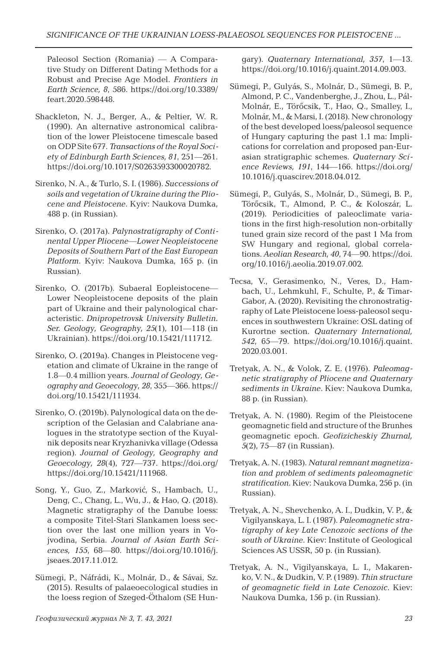Paleosol Section (Romania) — A Comparative Study on Different Dating Methods for a Robust and Precise Age Model. *Frontiers in Earth Science, 8*, 586. https://doi.org/10.3389/ feart.2020.598448.

- Shackleton, N. J., Berger, A., & Peltier, W. R. (1990). An alternative astronomical calibration of the lower Pleistocene timescale based on ODP Site 677. *Transactions of the Royal Society of Edinburgh Earth Sciences, 81*, 251—261. https://doi.org/10.1017/S0263593300020782.
- Sirenko, N. A., & Turlo, S. I. (1986). *Successions of soils and vegetation of Ukraine during the Pliocene and Pleistocene*. Kyiv: Naukova Dumka, 488 p. (in Russian).
- Sirenko, O. (2017a). *Palynostratigraphy of Continental Upper Pliocene—Lower Neopleistocene Deposits of Southern Part of the East European Platform*. Kyiv: Naukova Dumka, 165 p. (in Russian).
- Sirenko, O. (2017b). Subaeral Eopleistocene— Lower Neopleistocene deposits of the plain part of Ukraine and their palynological characteristic. *Dnipropetrovsk University Bulletin. Ser. Geology, Geography, 25*(1), 101—118 (in Ukrainian). https://doi.org/10.15421/111712.
- Sirenko, O. (2019a). Changes in Pleistocene vegetation and climate of Ukraine in the range of 1.8—0.4 million years. *Journal of Geology, Geography and Geoecology, 28*, 355—366. https:// doi.org/10.15421/111934.
- Sirenko, O. (2019b). Palynological data on the description of the Gelasian and Calabriane analogues in the stratotype section of the Kuyalnik deposits near Kryzhanivka village (Odessa region). *Journal of Geology, Geography and Geoecology, 28*(4), 727—737. https://doi.org/ https://doi.org/10.15421/111968.
- Song, Y., Guo, Z., Marković, S., Hambach, U., Deng, C., Chang, L., Wu, J., & Hao, Q. (2018). Magnetic stratigraphy of the Danube loess: a composite Titel-Stari Slankamen loess section over the last one million years in Vojvodina, Serbia. *Journal of Asian Earth Sciences, 155*, 68—80. https://doi.org/10.1016/j. jseaes.2017.11.012.
- Sümegi, P., Náfrádi, K., Molnár, D., & Sávai, Sz. (2015). Results of palaeoecological studies in the loess region of Szeged-Öthalom (SE Hun-

gary). *Quaternary International, 357*, 1—13. https://doi.org/10.1016/j.quaint.2014.09.003.

- Sümegi, P., Gulyás, S., Molnár, D., Sümegi, B. P., Almond, P. C., Vandenberghe, J., Zhou, L., Pál-Molnár, E., Törőcsik, T., Hao, Q., Smalley, I., Molnár, M., & Marsi, I. (2018). New chronology of the best developed loess/paleosol sequence of Hungary capturing the past 1.1 ma: Implications for correlation and proposed pan-Eurasian stratigraphic schemes. *Quaternary Science Reviews, 191*, 144—166. https://doi.org/ 10.1016/j.quascirev.2018.04.012.
- Sümegi, P., Gulyás, S., Molnár, D., Sümegi, B. P., Törőcsik, T., Almond, P. C., & Koloszár, L. (2019). Periodicities of paleoclimate variations in the first high-resolution non-orbitally tuned grain size record of the past 1 Ma from SW Hungary and regional, global correlations. *Aeolian Research, 40*, 74—90. https://doi. org/10.1016/j.aeolia.2019.07.002.
- Tecsa, V., Gerasimenko, N., Veres, D., Hambach, U., Lehmkuhl, F., Schulte, P., & Timar-Gabor, A. (2020). Revisiting the chronostratigraphy of Late Pleistocene loess-paleosol sequences in southwestern Ukraine: OSL dating of Kurortne section. *Quaternary International, 542*, 65—79. https://doi.org/10.1016/j.quaint. 2020.03.001.
- Tretyak, A. N., & Volok, Z. E. (1976). *Paleomagnetic stratigraphy of Pliocene and Quaternary sediments in Ukraine*. Kiev: Naukova Dumka, 88 p. (in Russian).
- Tretyak, A. N. (1980). Regim of the Pleistocene geomagnetic field and structure of the Brunhes geomagnetic epoch. *Geofizicheskiy Zhurnal, 5*(2), 75—87 (in Russian).
- Tretyak, A. N. (1983). *Natural remnant magnetization and problem of sediments paleomagnetic stratification*. Kiev: Naukova Dumka, 256 p. (in Russian).
- Tretyak, A. N., Shevchenko, A. I., Dudkin, V. P., & Vigilyanskaya, L. I. (1987). *Paleomagnetic stratigraphy of key Late Cenozoic sections of the south of Ukraine*. Kiev: Institute of Geological Sciences AS USSR, 50 p. (in Russian).
- Tretyak, A. N., Vigilyanskaya, L. I., Makarenko, V. N., & Dudkin, V. P. (1989). *Thin structure of geomagnetic field in Late Cenozoic*. Kiev: Naukova Dumka, 156 p. (in Russian).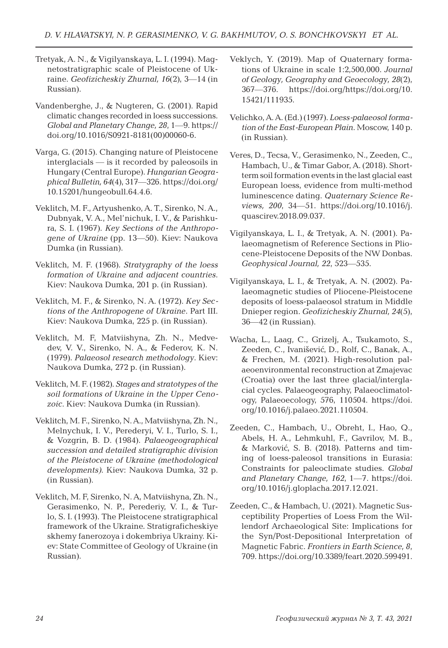- Tretyak, A. N., & Vigilyanskaya, L. I. (1994). Magnetostratigraphic scale of Pleistocene of Ukraine. *Geofizicheskiy Zhurnal, 16*(2), 3—14 (in Russian).
- Vandenberghe, J., & Nugteren, G. (2001). Rapid climatic changes recorded in loess successions. *Global and Planetary Change, 28*, 1—9. https:// doi.org/10.1016/S0921-8181(00)00060-6.
- Varga, G. (2015). Changing nature of Pleistocene interglacials — is it recorded by paleosoils in Hungary (Central Europe). *Hungarian Geographical Bulletin, 64*(4), 317—326. https://doi.org/ 10.15201/hungeobull.64.4.6.
- Veklitch, M. F., Artyushenko, A. T., Sirenko, N. A., Dubnyak, V. A., Mel'nichuk, I. V., & Parishkura, S. I. (1967). *Key Sections of the Anthropogene of Ukraine* (pp. 13—50). Kiev: Naukova Dumka (in Russian).
- Veklitch, M. F. (1968)*. Stratygraphy of the loess formation of Ukraine and adjacent countries*. Kiev: Naukova Dumka, 201 p. (in Russian).
- Veklitch, M. F., & Sirenko, N. A. (1972). *Key Sections of the Anthropogene of Ukraine*. Part III. Kiev: Naukova Dumka, 225 p. (in Russian).
- Veklitch, M. F, Matviishyna, Zh. N., Medvedev, V. V., Sirenko, N. A., & Federov, K. N. (1979). *Palaeosol research methodology*. Kiev: Naukova Dumka, 272 p. (in Russian).
- Veklitch, M. F. (1982). *Stages and stratotypes of the soil formations of Ukraine in the Upper Cenozoic*. Kiev: Naukova Dumka (in Russian).
- Veklitch,M. F., Sirenko, N.A., Matviishyna, Zh. N., Melnychuk, I. V., Perederyi, V. I., Turlo, S. I., & Vozgrin, B. D. (1984). *Palaeogeographical succession and detailed stratigraphic division of the Pleistocene of Ukraine (methodological developments)*. Kiev: Naukova Dumka, 32 p. (in Russian).
- Veklitch, M. F, Sirenko, N. A, Matviishyna, Zh. N., Gerasimenko, N. P., Perederiy, V. I., & Turlo, S. I. (1993). The Pleistocene stratigraphical framework of the Ukraine*.* Stratigraficheskiye skhemy fanerozoya i dokembriya Ukrainy. Kiev: State Committee of Geology of Ukraine (in Russian).
- Veklych, Y. (2019). Map of Quaternary formations of Ukraine in scale 1:2,500,000. *Journal of Geology, Geography and Geoecology, 28*(2), 367—376. https://doi.org/https://doi.org/10. 15421/111935.
- Velichko,A.A. (Ed.) (1997). *Loess-palaeosol formation of the East-European Plain*. Moscow, 140 p. (in Russian).
- Veres, D., Tecsa, V., Gerasimenko, N., Zeeden, C., Hambach, U., & Timar Gabor, A. (2018). Shortterm soil formation events in the last glacial east European loess, evidence from multi-method luminescence dating. *Quaternary Science Reviews, 200*, 34—51. https://doi.org/10.1016/j. quascirev.2018.09.037.
- Vigilyanskaya, L. I., & Tretyak, A. N. (2001). Palaeomagnetism of Reference Sections in Pliocene-Pleistocene Deposits of the NW Donbas. *Geophysical Journal, 22*, 523—535.
- Vigilyanskaya, L. I., & Tretyak, A. N. (2002). Palaeomagnetic studies of Pliocene-Pleistocene deposits of loess-palaeosol stratum in Middle Dnieper region. *Geofizicheskiy Zhurnal, 24*(5), 36—42 (in Russian).
- Wacha, L., Laag, C., Grizelj, A., Tsukamoto, S., Zeeden, C., Ivanišević, D., Rolf, C., Banak, A., & Frechen, M. (2021). High-resolution palaeoenvironmental reconstruction at Zmajevac (Croatia) over the last three glacial/interglacial cycles. Palaeogeography, Palaeoclimatology, Palaeoecology, 576, 110504. https://doi. org/10.1016/j.palaeo.2021.110504.
- Zeeden, C., Hambach, U., Obreht, I., Hao, Q., Abels, H. A., Lehmkuhl, F., Gavrilov, M. B., & Marković, S. B. (2018). Patterns and timing of loess-paleosol transitions in Eurasia: Constraints for paleoclimate studies. *Global and Planetary Change, 162*, 1—7. https://doi. org/10.1016/j.gloplacha.2017.12.021.
- Zeeden, C., & Hambach, U. (2021). Magnetic Susceptibility Properties of Loess From the Willendorf Archaeological Site: Implications for the Syn/Post-Depositional Interpretation of Magnetic Fabric. *Frontiers in Earth Science, 8*, 709. https://doi.org/10.3389/feart.2020.599491.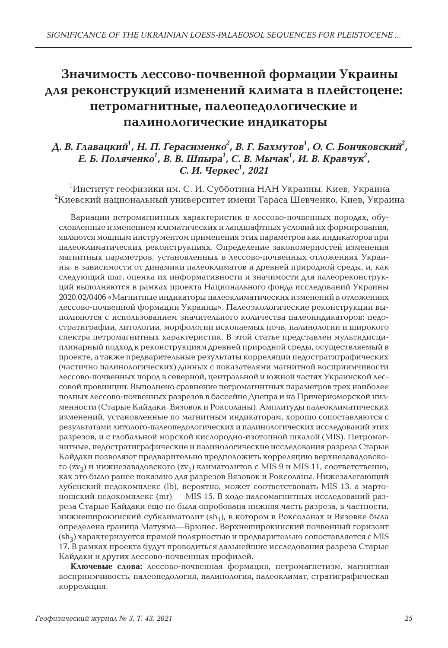# **Значимость лессово-почвенной формации Украины для реконструкций изменений климата в плейстоцене: петромагнитные, палеопедологические и палинологические индикаторы**

### Д. В. Главацкий<sup>1</sup>, Н. П. Герасименко $^2$ , В. Г. Бахмутов<sup>1</sup>, О. С. Бончковский $^2$ , *Е. Б. Поляченко<sup>1</sup> , В. В. Шпыра<sup>1</sup> , С. В. Мычак<sup>1</sup> , И. В. Кравчук<sup>2</sup> , С. И. Черкес<sup>1</sup> , 2021*

 $^1$ Институт геофизики им. С. И. Субботина НАН Украины, Киев, Украина  $^2$ Киевский национальный университет имени Тараса Шевченко, Киев, Украина

Вариации петромагнитных характеристик в лессово-почвенных породах, обусловленные изменением климатических и ландшафтных условий их формирования, являются мощным инструментом применения этих параметров как индикаторов при палеоклиматических реконструкциях. Определение закономерностей изменения магнитных параметров, установленных в лессово-почвенных отложениях Украины, в зависимости от динамики палеоклиматов и древней природной среды, и, как следующий шаг, оценка их информативности и значимости для палеореконструкций выполняются в рамках проекта Национального фонда исследований Украины 2020.02/0406 «Магнитные индикаторы палеоклиматических изменений в отложениях лессово-почвенной формации Украины». Палеоэкологические реконструкции выполняются с использованием значительного количества палеоиндикаторов: педостратиграфии, литологии, морфологии ископаемых почв, палинологии и широкого спектра петромагнитных характеристик. В этой статье представлен мультидисциплинарный подход к реконструкциям древней природной среды, осуществляемый в проекте, а также предварительные результаты корреляции педостратиграфических (частично палинологических) данных с показателями магнитной восприимчивости лессово-почвенных пород в северной, центральной и южной частях Украинской лессовой провинции. Выполнено сравнение петромагнитных параметров трех наиболее полных лессово-почвенных разрезов в бассейне Днепра и на Причерноморской низменности (Старые Кайдаки, Вязовок и Роксоланы). Амплитуды палеоклиматических изменений, установленные по магнитным индикаторам, хорошо сопоставляются с результатами литолого-палеопедологических и палинологических исследований этих разрезов, и с глобальной морской кислородно-изотопной шкалой (MIS). Петромагнитные, педостратиграфические и палинологические исследования разреза Старые Кайдаки позволяют предварительно предположить корреляцию верхнезавадовского (zv<sub>3</sub>) и нижнезавадовского (zv<sub>1</sub>) климатолитов с MIS 9 и MIS 11, соответственно, как это было ранее показано для разрезов Вязовок и Роксоланы. Нижезалегающий лубенский педокомплекс (lb), вероятно, может соответствовать MIS 13, а мартоношский педокомплекс (mr) — MIS 15. В ходе палеомагнитных исследований разреза Старые Кайдаки еще не была опробована нижняя часть разреза, в частности, нижнеширокинский субклиматолит (sh<sub>1</sub>), в котором в Роксоланах и Вязовке была определена границa Матуяма—Брюнес. Верхнеширокинский почвенный горизонт  $(\text{sh}_3)$  характеризуется прямой полярностью и предварительно сопоставляется с MIS 17. В рамках проекта будут проводиться дальнейшие исследования разреза Старые Кайдаки и других лессово-почвенных профилей.

**Ключевые слова:** лессово-почвенная формация, петромагнетизм, магнитная восприимчивость, палеопедология, палинология, палеоклимат, стратиграфическая корреляция.